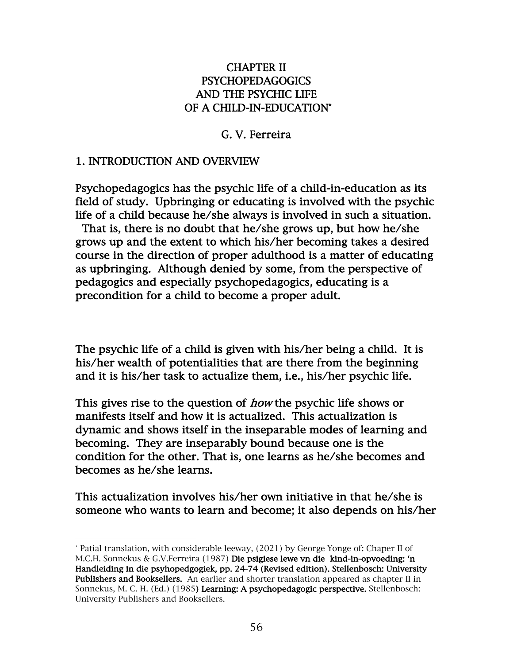#### CHAPTER II PSYCHOPEDAGOGICS AND THE PSYCHIC LIFE OF A CHILD-IN-EDUCATION\*

#### G. V. Ferreira

#### 1. INTRODUCTION AND OVERVIEW

Psychopedagogics has the psychic life of a child-in-education as its field of study. Upbringing or educating is involved with the psychic life of a child because he/she always is involved in such a situation.

 That is, there is no doubt that he/she grows up, but how he/she grows up and the extent to which his/her becoming takes a desired course in the direction of proper adulthood is a matter of educating as upbringing. Although denied by some, from the perspective of pedagogics and especially psychopedagogics, educating is a precondition for a child to become a proper adult.

The psychic life of a child is given with his/her being a child. It is his/her wealth of potentialities that are there from the beginning and it is his/her task to actualize them, i.e., his/her psychic life.

This gives rise to the question of *how* the psychic life shows or manifests itself and how it is actualized. This actualization is dynamic and shows itself in the inseparable modes of learning and becoming. They are inseparably bound because one is the condition for the other. That is, one learns as he/she becomes and becomes as he/she learns.

This actualization involves his/her own initiative in that he/she is someone who wants to learn and become; it also depends on his/her

<sup>\*</sup> Patial translation, with considerable leeway, (2021) by George Yonge of: Chaper II of M.C.H. Sonnekus & G.V.Ferreira (1987) Die psigiese lewe vn die kind-in-opvoeding: 'n Handleiding in die psyhopedgogiek, pp. 24-74 (Revised edition). Stellenbosch: University Publishers and Booksellers. An earlier and shorter translation appeared as chapter II in Sonnekus, M. C. H. (Ed.) (1985) Learning: A psychopedagogic perspective. Stellenbosch: University Publishers and Booksellers.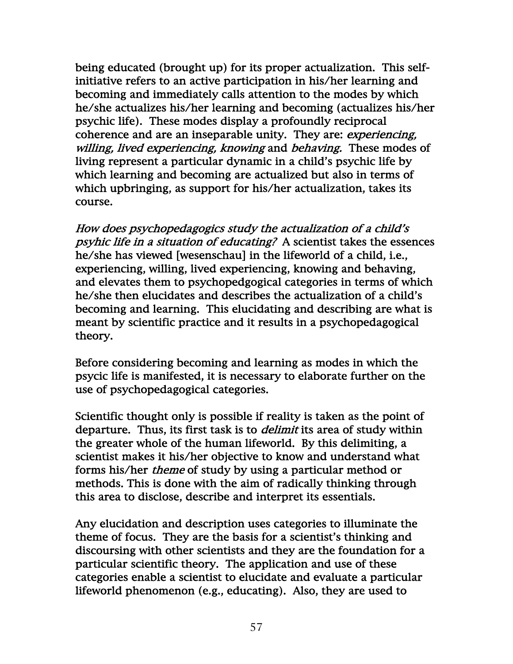being educated (brought up) for its proper actualization. This selfinitiative refers to an active participation in his/her learning and becoming and immediately calls attention to the modes by which he/she actualizes his/her learning and becoming (actualizes his/her psychic life). These modes display a profoundly reciprocal coherence and are an inseparable unity. They are: experiencing, willing, lived experiencing, knowing and behaving. These modes of living represent a particular dynamic in a child's psychic life by which learning and becoming are actualized but also in terms of which upbringing, as support for his/her actualization, takes its course.

How does psychopedagogics study the actualization of a child's psyhic life in a situation of educating? A scientist takes the essences he/she has viewed [wesenschau] in the lifeworld of a child, i.e., experiencing, willing, lived experiencing, knowing and behaving, and elevates them to psychopedgogical categories in terms of which he/she then elucidates and describes the actualization of a child's becoming and learning. This elucidating and describing are what is meant by scientific practice and it results in a psychopedagogical theory.

Before considering becoming and learning as modes in which the psycic life is manifested, it is necessary to elaborate further on the use of psychopedagogical categories.

Scientific thought only is possible if reality is taken as the point of departure. Thus, its first task is to *delimit* its area of study within the greater whole of the human lifeworld. By this delimiting, a scientist makes it his/her objective to know and understand what forms his/her *theme* of study by using a particular method or methods. This is done with the aim of radically thinking through this area to disclose, describe and interpret its essentials.

Any elucidation and description uses categories to illuminate the theme of focus. They are the basis for a scientist's thinking and discoursing with other scientists and they are the foundation for a particular scientific theory. The application and use of these categories enable a scientist to elucidate and evaluate a particular lifeworld phenomenon (e.g., educating). Also, they are used to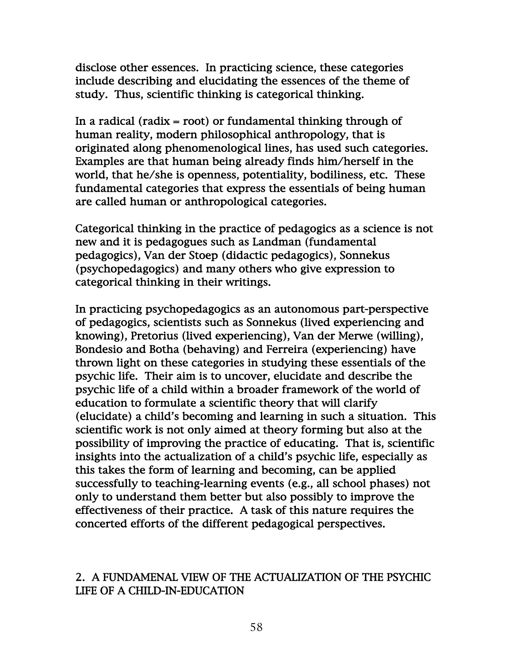disclose other essences. In practicing science, these categories include describing and elucidating the essences of the theme of study. Thus, scientific thinking is categorical thinking.

In a radical (radix = root) or fundamental thinking through of human reality, modern philosophical anthropology, that is originated along phenomenological lines, has used such categories. Examples are that human being already finds him/herself in the world, that he/she is openness, potentiality, bodiliness, etc. These fundamental categories that express the essentials of being human are called human or anthropological categories.

Categorical thinking in the practice of pedagogics as a science is not new and it is pedagogues such as Landman (fundamental pedagogics), Van der Stoep (didactic pedagogics), Sonnekus (psychopedagogics) and many others who give expression to categorical thinking in their writings.

In practicing psychopedagogics as an autonomous part-perspective of pedagogics, scientists such as Sonnekus (lived experiencing and knowing), Pretorius (lived experiencing), Van der Merwe (willing), Bondesio and Botha (behaving) and Ferreira (experiencing) have thrown light on these categories in studying these essentials of the psychic life. Their aim is to uncover, elucidate and describe the psychic life of a child within a broader framework of the world of education to formulate a scientific theory that will clarify (elucidate) a child's becoming and learning in such a situation. This scientific work is not only aimed at theory forming but also at the possibility of improving the practice of educating. That is, scientific insights into the actualization of a child's psychic life, especially as this takes the form of learning and becoming, can be applied successfully to teaching-learning events (e.g., all school phases) not only to understand them better but also possibly to improve the effectiveness of their practice. A task of this nature requires the concerted efforts of the different pedagogical perspectives.

#### 2. A FUNDAMENAL VIEW OF THE ACTUALIZATION OF THE PSYCHIC LIFE OF A CHILD-IN-EDUCATION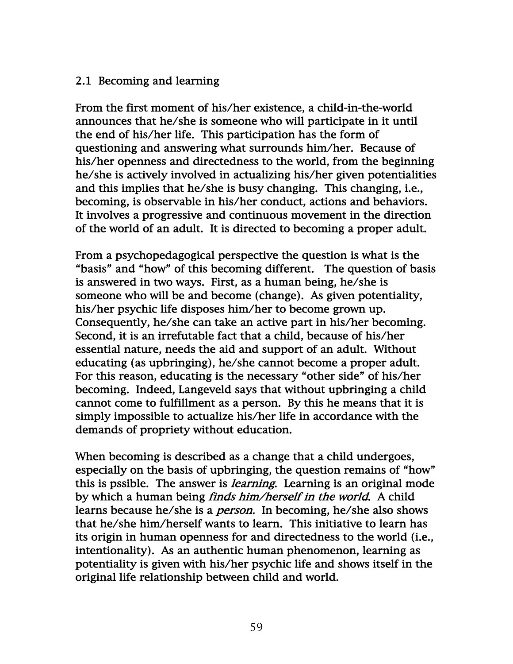#### 2.1 Becoming and learning

From the first moment of his/her existence, a child-in-the-world announces that he/she is someone who will participate in it until the end of his/her life. This participation has the form of questioning and answering what surrounds him/her. Because of his/her openness and directedness to the world, from the beginning he/she is actively involved in actualizing his/her given potentialities and this implies that he/she is busy changing. This changing, i.e., becoming, is observable in his/her conduct, actions and behaviors. It involves a progressive and continuous movement in the direction of the world of an adult. It is directed to becoming a proper adult.

From a psychopedagogical perspective the question is what is the "basis" and "how" of this becoming different. The question of basis is answered in two ways. First, as a human being, he/she is someone who will be and become (change). As given potentiality, his/her psychic life disposes him/her to become grown up. Consequently, he/she can take an active part in his/her becoming. Second, it is an irrefutable fact that a child, because of his/her essential nature, needs the aid and support of an adult. Without educating (as upbringing), he/she cannot become a proper adult. For this reason, educating is the necessary "other side" of his/her becoming. Indeed, Langeveld says that without upbringing a child cannot come to fulfillment as a person. By this he means that it is simply impossible to actualize his/her life in accordance with the demands of propriety without education.

When becoming is described as a change that a child undergoes, especially on the basis of upbringing, the question remains of "how" this is pssible. The answer is *learning*. Learning is an original mode by which a human being finds him/herself in the world. A child learns because he/she is a person. In becoming, he/she also shows that he/she him/herself wants to learn. This initiative to learn has its origin in human openness for and directedness to the world (i.e., intentionality). As an authentic human phenomenon, learning as potentiality is given with his/her psychic life and shows itself in the original life relationship between child and world.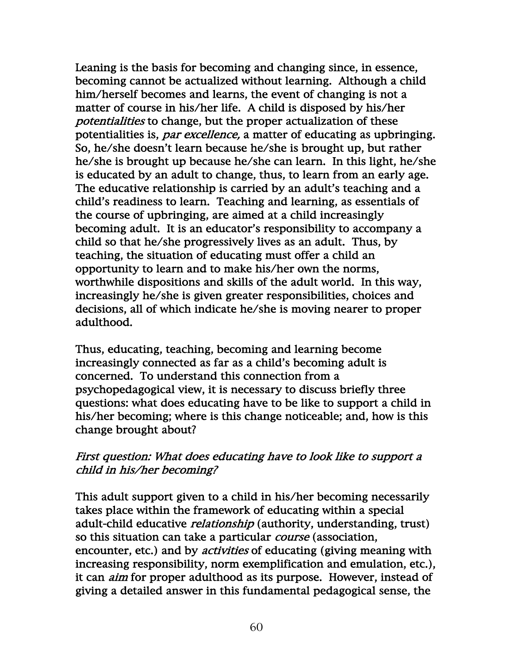Leaning is the basis for becoming and changing since, in essence, becoming cannot be actualized without learning. Although a child him/herself becomes and learns, the event of changing is not a matter of course in his/her life. A child is disposed by his/her potentialities to change, but the proper actualization of these potentialities is, *par excellence*, a matter of educating as upbringing. So, he/she doesn't learn because he/she is brought up, but rather he/she is brought up because he/she can learn. In this light, he/she is educated by an adult to change, thus, to learn from an early age. The educative relationship is carried by an adult's teaching and a child's readiness to learn. Teaching and learning, as essentials of the course of upbringing, are aimed at a child increasingly becoming adult. It is an educator's responsibility to accompany a child so that he/she progressively lives as an adult. Thus, by teaching, the situation of educating must offer a child an opportunity to learn and to make his/her own the norms, worthwhile dispositions and skills of the adult world. In this way, increasingly he/she is given greater responsibilities, choices and decisions, all of which indicate he/she is moving nearer to proper adulthood.

Thus, educating, teaching, becoming and learning become increasingly connected as far as a child's becoming adult is concerned. To understand this connection from a psychopedagogical view, it is necessary to discuss briefly three questions: what does educating have to be like to support a child in his/her becoming; where is this change noticeable; and, how is this change brought about?

#### First question: What does educating have to look like to support a child in his/her becoming?

This adult support given to a child in his/her becoming necessarily takes place within the framework of educating within a special adult-child educative *relationship* (authority, understanding, trust) so this situation can take a particular *course* (association, encounter, etc.) and by *activities* of educating (giving meaning with increasing responsibility, norm exemplification and emulation, etc.), it can aim for proper adulthood as its purpose. However, instead of giving a detailed answer in this fundamental pedagogical sense, the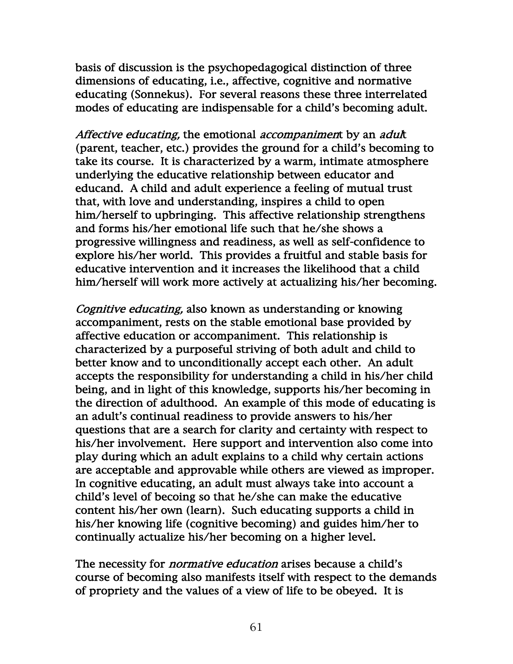basis of discussion is the psychopedagogical distinction of three dimensions of educating, i.e., affective, cognitive and normative educating (Sonnekus). For several reasons these three interrelated modes of educating are indispensable for a child's becoming adult.

Affective educating, the emotional accompaniment by an adult (parent, teacher, etc.) provides the ground for a child's becoming to take its course. It is characterized by a warm, intimate atmosphere underlying the educative relationship between educator and educand. A child and adult experience a feeling of mutual trust that, with love and understanding, inspires a child to open him/herself to upbringing. This affective relationship strengthens and forms his/her emotional life such that he/she shows a progressive willingness and readiness, as well as self-confidence to explore his/her world. This provides a fruitful and stable basis for educative intervention and it increases the likelihood that a child him/herself will work more actively at actualizing his/her becoming.

Cognitive educating, also known as understanding or knowing accompaniment, rests on the stable emotional base provided by affective education or accompaniment. This relationship is characterized by a purposeful striving of both adult and child to better know and to unconditionally accept each other. An adult accepts the responsibility for understanding a child in his/her child being, and in light of this knowledge, supports his/her becoming in the direction of adulthood. An example of this mode of educating is an adult's continual readiness to provide answers to his/her questions that are a search for clarity and certainty with respect to his/her involvement. Here support and intervention also come into play during which an adult explains to a child why certain actions are acceptable and approvable while others are viewed as improper. In cognitive educating, an adult must always take into account a child's level of becoing so that he/she can make the educative content his/her own (learn). Such educating supports a child in his/her knowing life (cognitive becoming) and guides him/her to continually actualize his/her becoming on a higher level.

The necessity for *normative education* arises because a child's course of becoming also manifests itself with respect to the demands of propriety and the values of a view of life to be obeyed. It is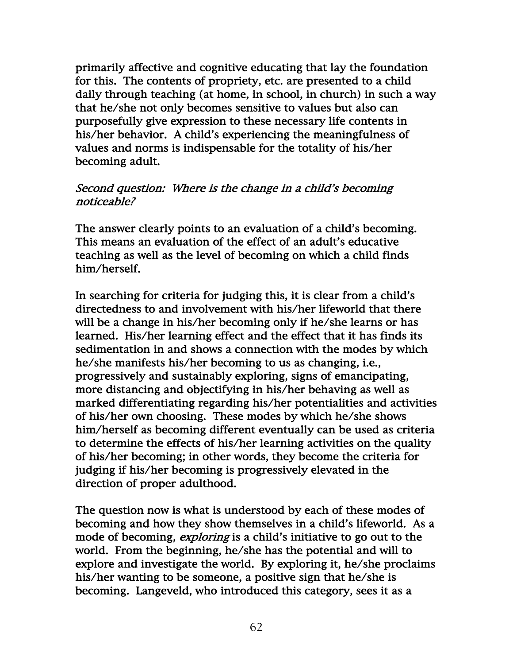primarily affective and cognitive educating that lay the foundation for this. The contents of propriety, etc. are presented to a child daily through teaching (at home, in school, in church) in such a way that he/she not only becomes sensitive to values but also can purposefully give expression to these necessary life contents in his/her behavior. A child's experiencing the meaningfulness of values and norms is indispensable for the totality of his/her becoming adult.

#### Second question: Where is the change in a child's becoming noticeable?

The answer clearly points to an evaluation of a child's becoming. This means an evaluation of the effect of an adult's educative teaching as well as the level of becoming on which a child finds him/herself.

In searching for criteria for judging this, it is clear from a child's directedness to and involvement with his/her lifeworld that there will be a change in his/her becoming only if he/she learns or has learned. His/her learning effect and the effect that it has finds its sedimentation in and shows a connection with the modes by which he/she manifests his/her becoming to us as changing, i.e., progressively and sustainably exploring, signs of emancipating, more distancing and objectifying in his/her behaving as well as marked differentiating regarding his/her potentialities and activities of his/her own choosing. These modes by which he/she shows him/herself as becoming different eventually can be used as criteria to determine the effects of his/her learning activities on the quality of his/her becoming; in other words, they become the criteria for judging if his/her becoming is progressively elevated in the direction of proper adulthood.

The question now is what is understood by each of these modes of becoming and how they show themselves in a child's lifeworld. As a mode of becoming, *exploring* is a child's initiative to go out to the world. From the beginning, he/she has the potential and will to explore and investigate the world. By exploring it, he/she proclaims his/her wanting to be someone, a positive sign that he/she is becoming. Langeveld, who introduced this category, sees it as a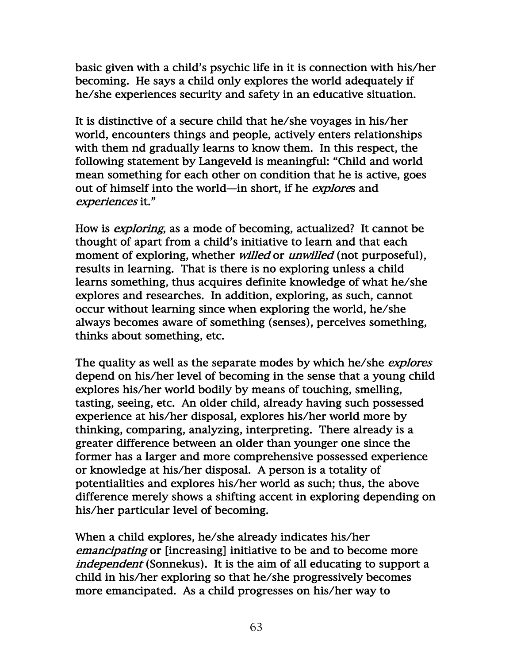basic given with a child's psychic life in it is connection with his/her becoming. He says a child only explores the world adequately if he/she experiences security and safety in an educative situation.

It is distinctive of a secure child that he/she voyages in his/her world, encounters things and people, actively enters relationships with them nd gradually learns to know them. In this respect, the following statement by Langeveld is meaningful: "Child and world mean something for each other on condition that he is active, goes out of himself into the world—in short, if he explores and experiences it."

How is exploring, as a mode of becoming, actualized? It cannot be thought of apart from a child's initiative to learn and that each moment of exploring, whether *willed* or *unwilled* (not purposeful), results in learning. That is there is no exploring unless a child learns something, thus acquires definite knowledge of what he/she explores and researches. In addition, exploring, as such, cannot occur without learning since when exploring the world, he/she always becomes aware of something (senses), perceives something, thinks about something, etc.

The quality as well as the separate modes by which he/she *explores* depend on his/her level of becoming in the sense that a young child explores his/her world bodily by means of touching, smelling, tasting, seeing, etc. An older child, already having such possessed experience at his/her disposal, explores his/her world more by thinking, comparing, analyzing, interpreting. There already is a greater difference between an older than younger one since the former has a larger and more comprehensive possessed experience or knowledge at his/her disposal. A person is a totality of potentialities and explores his/her world as such; thus, the above difference merely shows a shifting accent in exploring depending on his/her particular level of becoming.

When a child explores, he/she already indicates his/her emancipating or [increasing] initiative to be and to become more independent (Sonnekus). It is the aim of all educating to support a child in his/her exploring so that he/she progressively becomes more emancipated. As a child progresses on his/her way to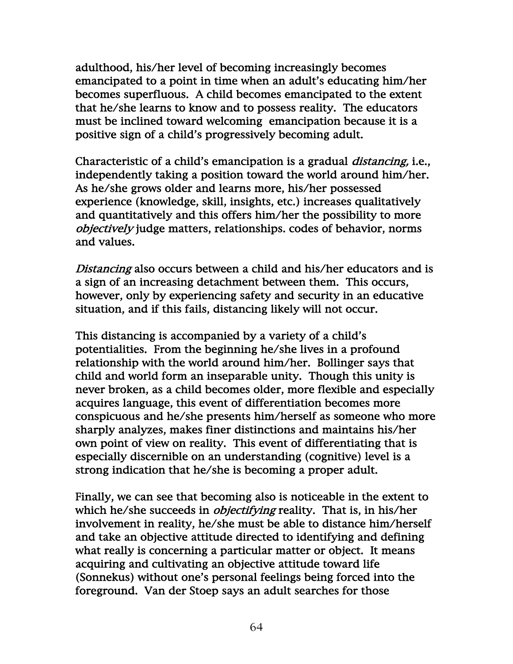adulthood, his/her level of becoming increasingly becomes emancipated to a point in time when an adult's educating him/her becomes superfluous. A child becomes emancipated to the extent that he/she learns to know and to possess reality. The educators must be inclined toward welcoming emancipation because it is a positive sign of a child's progressively becoming adult.

Characteristic of a child's emancipation is a gradual distancing, i.e., independently taking a position toward the world around him/her. As he/she grows older and learns more, his/her possessed experience (knowledge, skill, insights, etc.) increases qualitatively and quantitatively and this offers him/her the possibility to more objectively judge matters, relationships. codes of behavior, norms and values.

Distancing also occurs between a child and his/her educators and is a sign of an increasing detachment between them. This occurs, however, only by experiencing safety and security in an educative situation, and if this fails, distancing likely will not occur.

This distancing is accompanied by a variety of a child's potentialities. From the beginning he/she lives in a profound relationship with the world around him/her. Bollinger says that child and world form an inseparable unity. Though this unity is never broken, as a child becomes older, more flexible and especially acquires language, this event of differentiation becomes more conspicuous and he/she presents him/herself as someone who more sharply analyzes, makes finer distinctions and maintains his/her own point of view on reality. This event of differentiating that is especially discernible on an understanding (cognitive) level is a strong indication that he/she is becoming a proper adult.

Finally, we can see that becoming also is noticeable in the extent to which he/she succeeds in *objectifying* reality. That is, in his/her involvement in reality, he/she must be able to distance him/herself and take an objective attitude directed to identifying and defining what really is concerning a particular matter or object. It means acquiring and cultivating an objective attitude toward life (Sonnekus) without one's personal feelings being forced into the foreground. Van der Stoep says an adult searches for those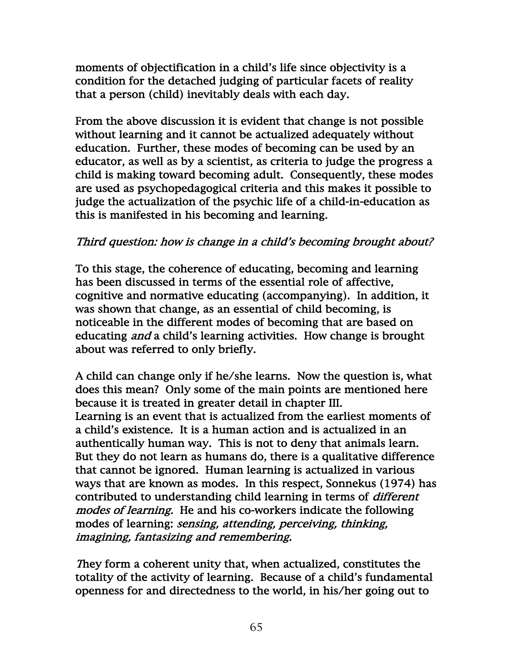moments of objectification in a child's life since objectivity is a condition for the detached judging of particular facets of reality that a person (child) inevitably deals with each day.

From the above discussion it is evident that change is not possible without learning and it cannot be actualized adequately without education. Further, these modes of becoming can be used by an educator, as well as by a scientist, as criteria to judge the progress a child is making toward becoming adult. Consequently, these modes are used as psychopedagogical criteria and this makes it possible to judge the actualization of the psychic life of a child-in-education as this is manifested in his becoming and learning.

## Third question: how is change in a child's becoming brought about?

To this stage, the coherence of educating, becoming and learning has been discussed in terms of the essential role of affective, cognitive and normative educating (accompanying). In addition, it was shown that change, as an essential of child becoming, is noticeable in the different modes of becoming that are based on educating *and* a child's learning activities. How change is brought about was referred to only briefly.

A child can change only if he/she learns. Now the question is, what does this mean? Only some of the main points are mentioned here because it is treated in greater detail in chapter III. Learning is an event that is actualized from the earliest moments of a child's existence. It is a human action and is actualized in an authentically human way. This is not to deny that animals learn. But they do not learn as humans do, there is a qualitative difference that cannot be ignored. Human learning is actualized in various ways that are known as modes. In this respect, Sonnekus (1974) has contributed to understanding child learning in terms of different modes of learning. He and his co-workers indicate the following modes of learning: sensing, attending, perceiving, thinking, imagining, fantasizing and remembering.

They form a coherent unity that, when actualized, constitutes the totality of the activity of learning. Because of a child's fundamental openness for and directedness to the world, in his/her going out to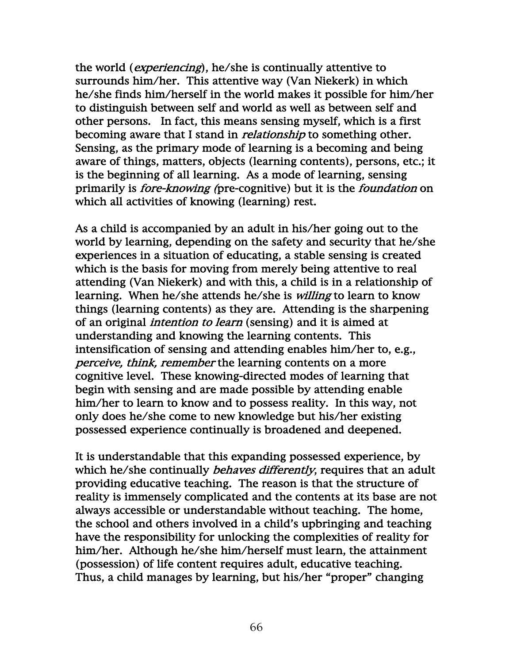the world (*experiencing*), he/she is continually attentive to surrounds him/her. This attentive way (Van Niekerk) in which he/she finds him/herself in the world makes it possible for him/her to distinguish between self and world as well as between self and other persons. In fact, this means sensing myself, which is a first becoming aware that I stand in *relationship* to something other. Sensing, as the primary mode of learning is a becoming and being aware of things, matters, objects (learning contents), persons, etc.; it is the beginning of all learning. As a mode of learning, sensing primarily is fore-knowing (pre-cognitive) but it is the foundation on which all activities of knowing (learning) rest.

As a child is accompanied by an adult in his/her going out to the world by learning, depending on the safety and security that he/she experiences in a situation of educating, a stable sensing is created which is the basis for moving from merely being attentive to real attending (Van Niekerk) and with this, a child is in a relationship of learning. When he/she attends he/she is *willing* to learn to know things (learning contents) as they are. Attending is the sharpening of an original *intention to learn* (sensing) and it is aimed at understanding and knowing the learning contents. This intensification of sensing and attending enables him/her to, e.g., perceive, think, remember the learning contents on a more cognitive level. These knowing-directed modes of learning that begin with sensing and are made possible by attending enable him/her to learn to know and to possess reality. In this way, not only does he/she come to new knowledge but his/her existing possessed experience continually is broadened and deepened.

It is understandable that this expanding possessed experience, by which he/she continually *behaves differently*, requires that an adult providing educative teaching. The reason is that the structure of reality is immensely complicated and the contents at its base are not always accessible or understandable without teaching. The home, the school and others involved in a child's upbringing and teaching have the responsibility for unlocking the complexities of reality for him/her. Although he/she him/herself must learn, the attainment (possession) of life content requires adult, educative teaching. Thus, a child manages by learning, but his/her "proper" changing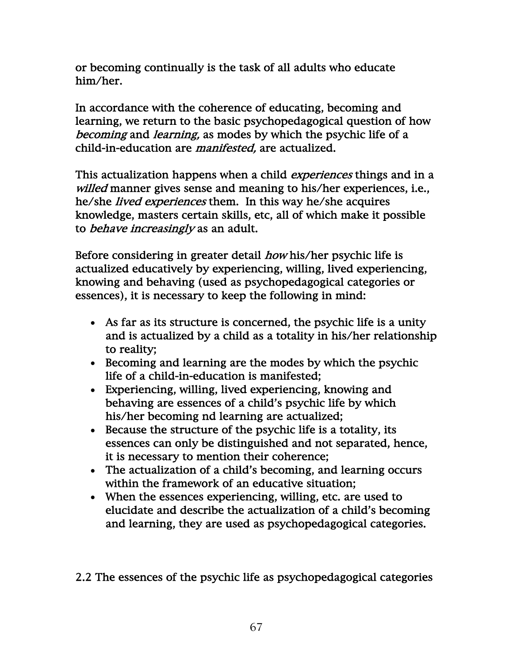or becoming continually is the task of all adults who educate him/her.

In accordance with the coherence of educating, becoming and learning, we return to the basic psychopedagogical question of how becoming and learning, as modes by which the psychic life of a child-in-education are *manifested*, are actualized.

This actualization happens when a child *experiences* things and in a willed manner gives sense and meaning to his/her experiences, i.e., he/she lived experiences them. In this way he/she acquires knowledge, masters certain skills, etc, all of which make it possible to behave increasingly as an adult.

Before considering in greater detail *how* his/her psychic life is actualized educatively by experiencing, willing, lived experiencing, knowing and behaving (used as psychopedagogical categories or essences), it is necessary to keep the following in mind:

- As far as its structure is concerned, the psychic life is a unity and is actualized by a child as a totality in his/her relationship to reality;
- Becoming and learning are the modes by which the psychic life of a child-in-education is manifested;
- Experiencing, willing, lived experiencing, knowing and behaving are essences of a child's psychic life by which his/her becoming nd learning are actualized;
- Because the structure of the psychic life is a totality, its essences can only be distinguished and not separated, hence, it is necessary to mention their coherence;
- The actualization of a child's becoming, and learning occurs within the framework of an educative situation;
- When the essences experiencing, willing, etc. are used to elucidate and describe the actualization of a child's becoming and learning, they are used as psychopedagogical categories.

2.2 The essences of the psychic life as psychopedagogical categories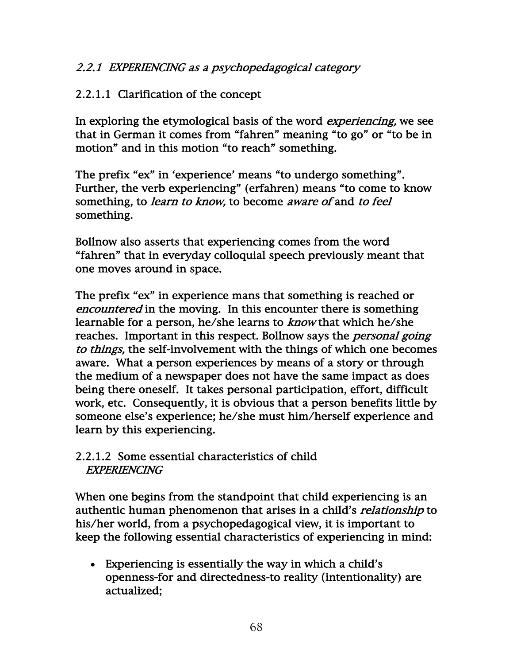## 2.2.1 EXPERIENCING as a psychopedagogical category

#### 2.2.1.1 Clarification of the concept

In exploring the etymological basis of the word *experiencing*, we see that in German it comes from "fahren" meaning "to go" or "to be in motion" and in this motion "to reach" something.

The prefix "ex" in 'experience' means "to undergo something". Further, the verb experiencing" (erfahren) means "to come to know something, to *learn to know*, to become *aware of* and *to feel* something.

Bollnow also asserts that experiencing comes from the word "fahren" that in everyday colloquial speech previously meant that one moves around in space.

The prefix "ex" in experience mans that something is reached or encountered in the moving. In this encounter there is something learnable for a person, he/she learns to know that which he/she reaches. Important in this respect. Bollnow says the *personal going* to things, the self-involvement with the things of which one becomes aware. What a person experiences by means of a story or through the medium of a newspaper does not have the same impact as does being there oneself. It takes personal participation, effort, difficult work, etc. Consequently, it is obvious that a person benefits little by someone else's experience; he/she must him/herself experience and learn by this experiencing.

#### 2.2.1.2 Some essential characteristics of child EXPERIENCING

When one begins from the standpoint that child experiencing is an authentic human phenomenon that arises in a child's *relationship* to his/her world, from a psychopedagogical view, it is important to keep the following essential characteristics of experiencing in mind:

• Experiencing is essentially the way in which a child's openness-for and directedness-to reality (intentionality) are actualized;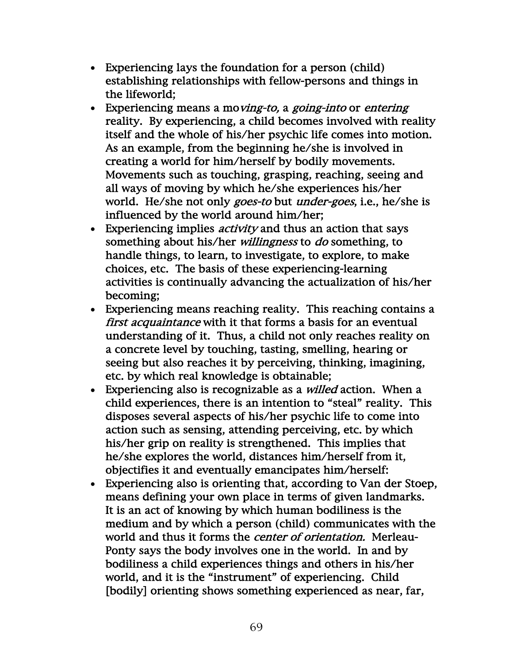- Experiencing lays the foundation for a person (child) establishing relationships with fellow-persons and things in the lifeworld;
- Experiencing means a moving-to, a going-into or entering reality. By experiencing, a child becomes involved with reality itself and the whole of his/her psychic life comes into motion. As an example, from the beginning he/she is involved in creating a world for him/herself by bodily movements. Movements such as touching, grasping, reaching, seeing and all ways of moving by which he/she experiences his/her world. He/she not only *goes-to* but *under-goes*, i.e., he/she is influenced by the world around him/her;
- Experiencing implies *activity* and thus an action that says something about his/her *willingness* to *do* something, to handle things, to learn, to investigate, to explore, to make choices, etc. The basis of these experiencing-learning activities is continually advancing the actualization of his/her becoming;
- Experiencing means reaching reality. This reaching contains a first acquaintance with it that forms a basis for an eventual understanding of it. Thus, a child not only reaches reality on a concrete level by touching, tasting, smelling, hearing or seeing but also reaches it by perceiving, thinking, imagining, etc. by which real knowledge is obtainable;
- Experiencing also is recognizable as a *willed* action. When a child experiences, there is an intention to "steal" reality. This disposes several aspects of his/her psychic life to come into action such as sensing, attending perceiving, etc. by which his/her grip on reality is strengthened. This implies that he/she explores the world, distances him/herself from it, objectifies it and eventually emancipates him/herself:
- Experiencing also is orienting that, according to Van der Stoep, means defining your own place in terms of given landmarks. It is an act of knowing by which human bodiliness is the medium and by which a person (child) communicates with the world and thus it forms the *center of orientation*. Merleau-Ponty says the body involves one in the world. In and by bodiliness a child experiences things and others in his/her world, and it is the "instrument" of experiencing. Child [bodily] orienting shows something experienced as near, far,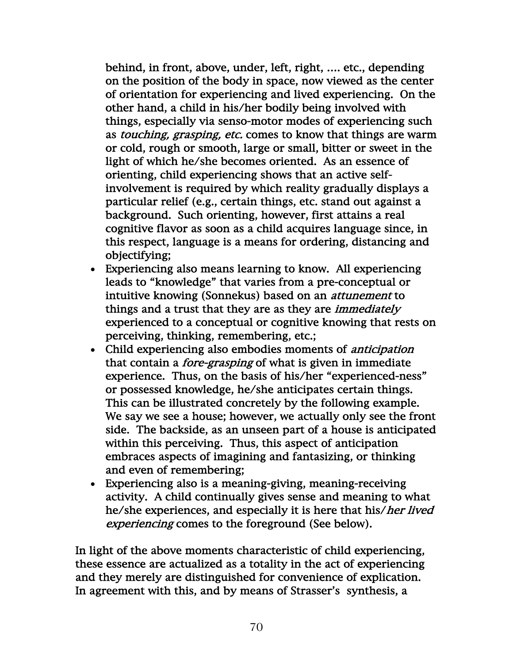behind, in front, above, under, left, right, …. etc., depending on the position of the body in space, now viewed as the center of orientation for experiencing and lived experiencing. On the other hand, a child in his/her bodily being involved with things, especially via senso-motor modes of experiencing such as *touching, grasping, etc.* comes to know that things are warm or cold, rough or smooth, large or small, bitter or sweet in the light of which he/she becomes oriented. As an essence of orienting, child experiencing shows that an active selfinvolvement is required by which reality gradually displays a particular relief (e.g., certain things, etc. stand out against a background. Such orienting, however, first attains a real cognitive flavor as soon as a child acquires language since, in this respect, language is a means for ordering, distancing and objectifying;

- Experiencing also means learning to know. All experiencing leads to "knowledge" that varies from a pre-conceptual or intuitive knowing (Sonnekus) based on an attunement to things and a trust that they are as they are *immediately* experienced to a conceptual or cognitive knowing that rests on perceiving, thinking, remembering, etc.;
- Child experiencing also embodies moments of anticipation that contain a *fore-grasping* of what is given in immediate experience. Thus, on the basis of his/her "experienced-ness" or possessed knowledge, he/she anticipates certain things. This can be illustrated concretely by the following example. We say we see a house; however, we actually only see the front side. The backside, as an unseen part of a house is anticipated within this perceiving. Thus, this aspect of anticipation embraces aspects of imagining and fantasizing, or thinking and even of remembering;
- Experiencing also is a meaning-giving, meaning-receiving activity. A child continually gives sense and meaning to what he/she experiences, and especially it is here that his/her lived experiencing comes to the foreground (See below).

In light of the above moments characteristic of child experiencing, these essence are actualized as a totality in the act of experiencing and they merely are distinguished for convenience of explication. In agreement with this, and by means of Strasser's synthesis, a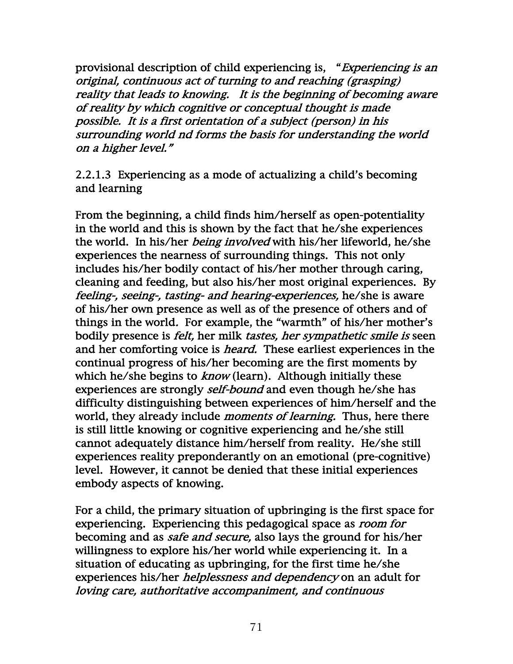provisional description of child experiencing is, "Experiencing is an original, continuous act of turning to and reaching (grasping) reality that leads to knowing. It is the beginning of becoming aware of reality by which cognitive or conceptual thought is made possible. It is a first orientation of a subject (person) in his surrounding world nd forms the basis for understanding the world on a higher level."

2.2.1.3 Experiencing as a mode of actualizing a child's becoming and learning

From the beginning, a child finds him/herself as open-potentiality in the world and this is shown by the fact that he/she experiences the world. In his/her *being involved* with his/her lifeworld, he/she experiences the nearness of surrounding things. This not only includes his/her bodily contact of his/her mother through caring, cleaning and feeding, but also his/her most original experiences. By feeling-, seeing-, tasting- and hearing-experiences, he/she is aware of his/her own presence as well as of the presence of others and of things in the world. For example, the "warmth" of his/her mother's bodily presence is felt, her milk tastes, her sympathetic smile is seen and her comforting voice is *heard*. These earliest experiences in the continual progress of his/her becoming are the first moments by which he/she begins to *know* (learn). Although initially these experiences are strongly *self-bound* and even though he/she has difficulty distinguishing between experiences of him/herself and the world, they already include *moments of learning*. Thus, here there is still little knowing or cognitive experiencing and he/she still cannot adequately distance him/herself from reality. He/she still experiences reality preponderantly on an emotional (pre-cognitive) level. However, it cannot be denied that these initial experiences embody aspects of knowing.

For a child, the primary situation of upbringing is the first space for experiencing. Experiencing this pedagogical space as room for becoming and as *safe and secure*, also lays the ground for his/her willingness to explore his/her world while experiencing it. In a situation of educating as upbringing, for the first time he/she experiences his/her helplessness and dependency on an adult for loving care, authoritative accompaniment, and continuous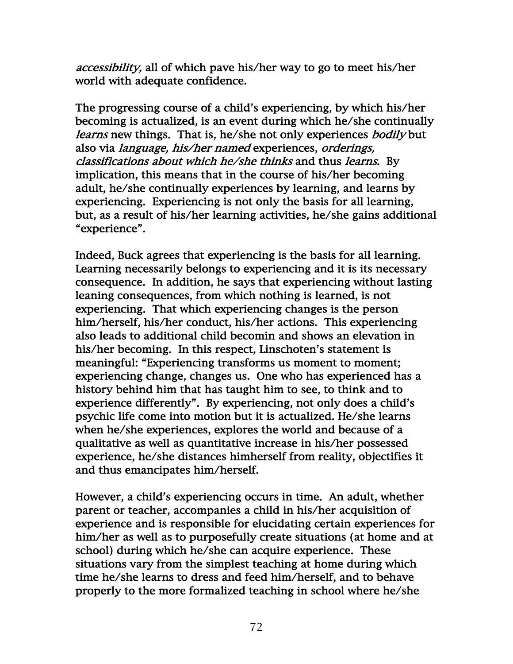accessibility, all of which pave his/her way to go to meet his/her world with adequate confidence.

The progressing course of a child's experiencing, by which his/her becoming is actualized, is an event during which he/she continually learns new things. That is, he/she not only experiences bodily but also via language, his/her named experiences, orderings, classifications about which he/she thinks and thus learns. By implication, this means that in the course of his/her becoming adult, he/she continually experiences by learning, and learns by experiencing. Experiencing is not only the basis for all learning, but, as a result of his/her learning activities, he/she gains additional "experience".

Indeed, Buck agrees that experiencing is the basis for all learning. Learning necessarily belongs to experiencing and it is its necessary consequence. In addition, he says that experiencing without lasting leaning consequences, from which nothing is learned, is not experiencing. That which experiencing changes is the person him/herself, his/her conduct, his/her actions. This experiencing also leads to additional child becomin and shows an elevation in his/her becoming. In this respect, Linschoten's statement is meaningful: "Experiencing transforms us moment to moment; experiencing change, changes us. One who has experienced has a history behind him that has taught him to see, to think and to experience differently". By experiencing, not only does a child's psychic life come into motion but it is actualized. He/she learns when he/she experiences, explores the world and because of a qualitative as well as quantitative increase in his/her possessed experience, he/she distances himherself from reality, objectifies it and thus emancipates him/herself.

However, a child's experiencing occurs in time. An adult, whether parent or teacher, accompanies a child in his/her acquisition of experience and is responsible for elucidating certain experiences for him/her as well as to purposefully create situations (at home and at school) during which he/she can acquire experience. These situations vary from the simplest teaching at home during which time he/she learns to dress and feed him/herself, and to behave properly to the more formalized teaching in school where he/she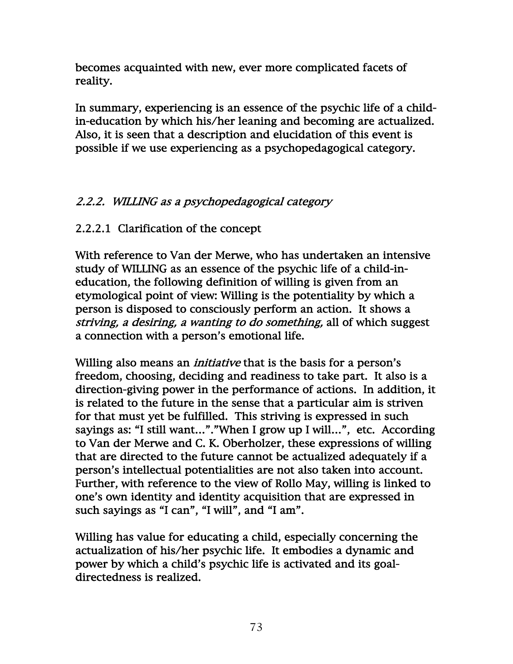becomes acquainted with new, ever more complicated facets of reality.

In summary, experiencing is an essence of the psychic life of a childin-education by which his/her leaning and becoming are actualized. Also, it is seen that a description and elucidation of this event is possible if we use experiencing as a psychopedagogical category.

# 2.2.2. WILLING as a psychopedagogical category

# 2.2.2.1 Clarification of the concept

With reference to Van der Merwe, who has undertaken an intensive study of WILLING as an essence of the psychic life of a child-ineducation, the following definition of willing is given from an etymological point of view: Willing is the potentiality by which a person is disposed to consciously perform an action. It shows a striving, a desiring, a wanting to do something, all of which suggest a connection with a person's emotional life.

Willing also means an *initiative* that is the basis for a person's freedom, choosing, deciding and readiness to take part. It also is a direction-giving power in the performance of actions. In addition, it is related to the future in the sense that a particular aim is striven for that must yet be fulfilled. This striving is expressed in such sayings as: "I still want…"."When I grow up I will…", etc. According to Van der Merwe and C. K. Oberholzer, these expressions of willing that are directed to the future cannot be actualized adequately if a person's intellectual potentialities are not also taken into account. Further, with reference to the view of Rollo May, willing is linked to one's own identity and identity acquisition that are expressed in such sayings as "I can", "I will", and "I am".

Willing has value for educating a child, especially concerning the actualization of his/her psychic life. It embodies a dynamic and power by which a child's psychic life is activated and its goaldirectedness is realized.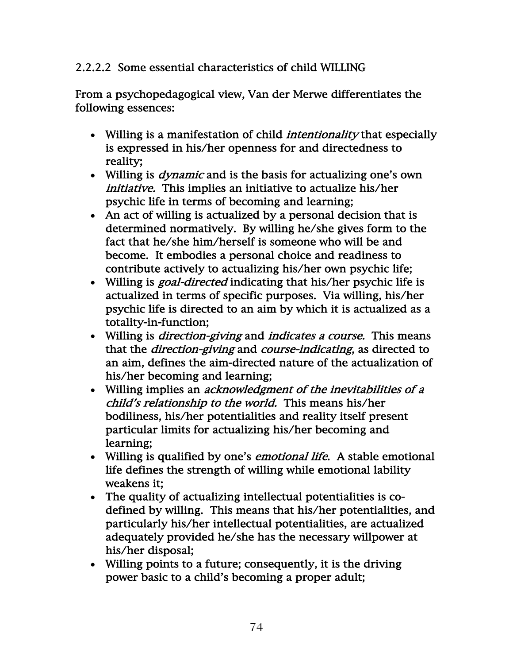# 2.2.2.2 Some essential characteristics of child WILLING

From a psychopedagogical view, Van der Merwe differentiates the following essences:

- Willing is a manifestation of child *intentionality* that especially is expressed in his/her openness for and directedness to reality;
- Willing is *dynamic* and is the basis for actualizing one's own initiative. This implies an initiative to actualize his/her psychic life in terms of becoming and learning;
- An act of willing is actualized by a personal decision that is determined normatively. By willing he/she gives form to the fact that he/she him/herself is someone who will be and become. It embodies a personal choice and readiness to contribute actively to actualizing his/her own psychic life;
- Willing is *goal-directed* indicating that his/her psychic life is actualized in terms of specific purposes. Via willing, his/her psychic life is directed to an aim by which it is actualized as a totality-in-function;
- Willing is *direction-giving* and *indicates a course*. This means that the direction-giving and course-indicating, as directed to an aim, defines the aim-directed nature of the actualization of his/her becoming and learning;
- Willing implies an *acknowledgment of the inevitabilities of a* child's relationship to the world. This means his/her bodiliness, his/her potentialities and reality itself present particular limits for actualizing his/her becoming and learning;
- Willing is qualified by one's *emotional life*. A stable emotional life defines the strength of willing while emotional lability weakens it;
- The quality of actualizing intellectual potentialities is codefined by willing. This means that his/her potentialities, and particularly his/her intellectual potentialities, are actualized adequately provided he/she has the necessary willpower at his/her disposal;
- Willing points to a future; consequently, it is the driving power basic to a child's becoming a proper adult;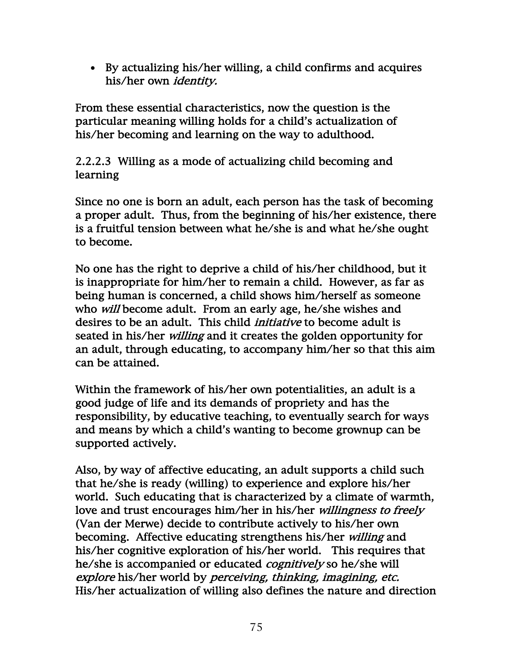• By actualizing his/her willing, a child confirms and acquires his/her own identity.

From these essential characteristics, now the question is the particular meaning willing holds for a child's actualization of his/her becoming and learning on the way to adulthood.

2.2.2.3 Willing as a mode of actualizing child becoming and learning

Since no one is born an adult, each person has the task of becoming a proper adult. Thus, from the beginning of his/her existence, there is a fruitful tension between what he/she is and what he/she ought to become.

No one has the right to deprive a child of his/her childhood, but it is inappropriate for him/her to remain a child. However, as far as being human is concerned, a child shows him/herself as someone who *will* become adult. From an early age, he/she wishes and desires to be an adult. This child *initiative* to become adult is seated in his/her *willing* and it creates the golden opportunity for an adult, through educating, to accompany him/her so that this aim can be attained.

Within the framework of his/her own potentialities, an adult is a good judge of life and its demands of propriety and has the responsibility, by educative teaching, to eventually search for ways and means by which a child's wanting to become grownup can be supported actively.

Also, by way of affective educating, an adult supports a child such that he/she is ready (willing) to experience and explore his/her world. Such educating that is characterized by a climate of warmth, love and trust encourages him/her in his/her *willingness to freely* (Van der Merwe) decide to contribute actively to his/her own becoming. Affective educating strengthens his/her willing and his/her cognitive exploration of his/her world. This requires that he/she is accompanied or educated *cognitively* so he/she will explore his/her world by perceiving, thinking, imagining, etc. His/her actualization of willing also defines the nature and direction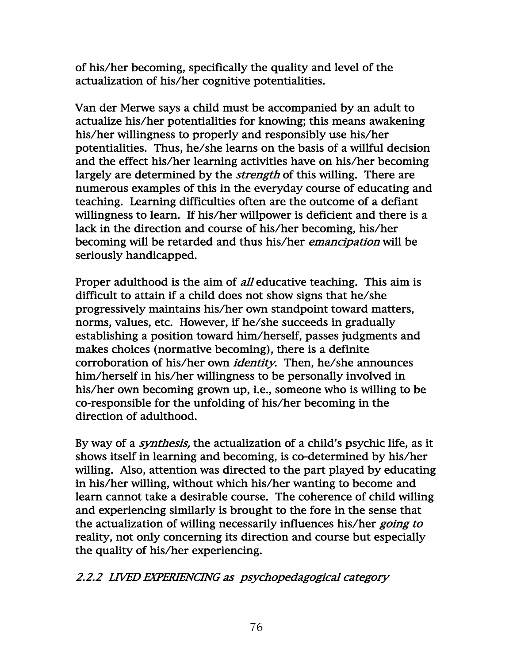of his/her becoming, specifically the quality and level of the actualization of his/her cognitive potentialities.

Van der Merwe says a child must be accompanied by an adult to actualize his/her potentialities for knowing; this means awakening his/her willingness to properly and responsibly use his/her potentialities. Thus, he/she learns on the basis of a willful decision and the effect his/her learning activities have on his/her becoming largely are determined by the *strength* of this willing. There are numerous examples of this in the everyday course of educating and teaching. Learning difficulties often are the outcome of a defiant willingness to learn. If his/her willpower is deficient and there is a lack in the direction and course of his/her becoming, his/her becoming will be retarded and thus his/her emancipation will be seriously handicapped.

Proper adulthood is the aim of *all* educative teaching. This aim is difficult to attain if a child does not show signs that he/she progressively maintains his/her own standpoint toward matters, norms, values, etc. However, if he/she succeeds in gradually establishing a position toward him/herself, passes judgments and makes choices (normative becoming), there is a definite corroboration of his/her own *identity*. Then, he/she announces him/herself in his/her willingness to be personally involved in his/her own becoming grown up, i.e., someone who is willing to be co-responsible for the unfolding of his/her becoming in the direction of adulthood.

By way of a *synthesis*, the actualization of a child's psychic life, as it shows itself in learning and becoming, is co-determined by his/her willing. Also, attention was directed to the part played by educating in his/her willing, without which his/her wanting to become and learn cannot take a desirable course. The coherence of child willing and experiencing similarly is brought to the fore in the sense that the actualization of willing necessarily influences his/her going to reality, not only concerning its direction and course but especially the quality of his/her experiencing.

2.2.2 LIVED EXPERIENCING as psychopedagogical category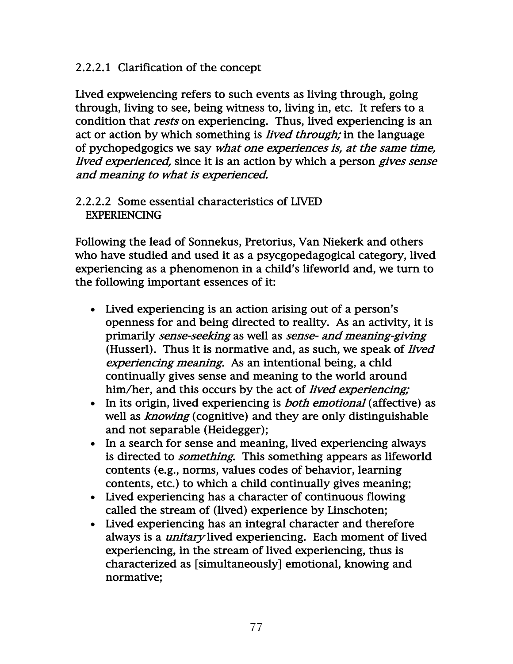## 2.2.2.1 Clarification of the concept

Lived expweiencing refers to such events as living through, going through, living to see, being witness to, living in, etc. It refers to a condition that *rests* on experiencing. Thus, lived experiencing is an act or action by which something is *lived through*; in the language of pychopedgogics we say what one experiences is, at the same time, lived experienced, since it is an action by which a person gives sense and meaning to what is experienced.

#### 2.2.2.2 Some essential characteristics of LIVED EXPERIENCING

Following the lead of Sonnekus, Pretorius, Van Niekerk and others who have studied and used it as a psycgopedagogical category, lived experiencing as a phenomenon in a child's lifeworld and, we turn to the following important essences of it:

- Lived experiencing is an action arising out of a person's openness for and being directed to reality. As an activity, it is primarily sense-seeking as well as sense- and meaning-giving (Husserl). Thus it is normative and, as such, we speak of *lived* experiencing meaning. As an intentional being, a chld continually gives sense and meaning to the world around him/her, and this occurs by the act of *lived experiencing*;
- In its origin, lived experiencing is *both emotional* (affective) as well as *knowing* (cognitive) and they are only distinguishable and not separable (Heidegger);
- In a search for sense and meaning, lived experiencing always is directed to something. This something appears as lifeworld contents (e.g., norms, values codes of behavior, learning contents, etc.) to which a child continually gives meaning;
- Lived experiencing has a character of continuous flowing called the stream of (lived) experience by Linschoten;
- Lived experiencing has an integral character and therefore always is a *unitary* lived experiencing. Each moment of lived experiencing, in the stream of lived experiencing, thus is characterized as [simultaneously] emotional, knowing and normative;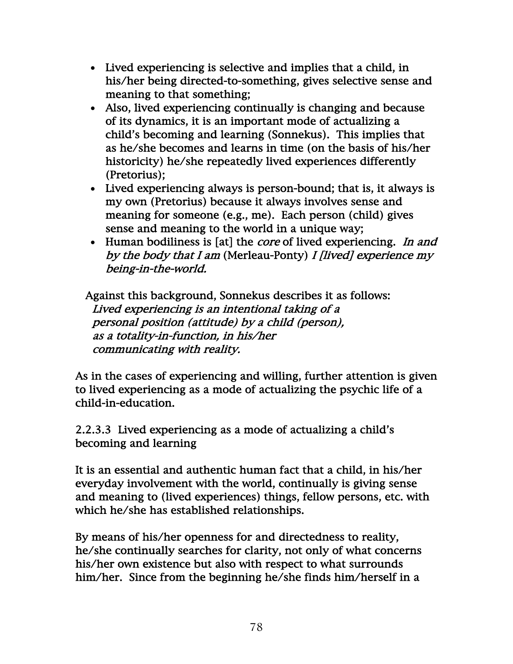- Lived experiencing is selective and implies that a child, in his/her being directed-to-something, gives selective sense and meaning to that something;
- Also, lived experiencing continually is changing and because of its dynamics, it is an important mode of actualizing a child's becoming and learning (Sonnekus). This implies that as he/she becomes and learns in time (on the basis of his/her historicity) he/she repeatedly lived experiences differently (Pretorius);
- Lived experiencing always is person-bound; that is, it always is my own (Pretorius) because it always involves sense and meaning for someone (e.g., me). Each person (child) gives sense and meaning to the world in a unique way;
- Human bodiliness is [at] the *core* of lived experiencing. *In and* by the body that I am (Merleau-Ponty) I *[lived]* experience my being-in-the-world.

 Against this background, Sonnekus describes it as follows: Lived experiencing is an intentional taking of a personal position (attitude) by a child (person), as a totality-in-function, in his/her communicating with reality.

As in the cases of experiencing and willing, further attention is given to lived experiencing as a mode of actualizing the psychic life of a child-in-education.

2.2.3.3 Lived experiencing as a mode of actualizing a child's becoming and learning

It is an essential and authentic human fact that a child, in his/her everyday involvement with the world, continually is giving sense and meaning to (lived experiences) things, fellow persons, etc. with which he/she has established relationships.

By means of his/her openness for and directedness to reality, he/she continually searches for clarity, not only of what concerns his/her own existence but also with respect to what surrounds him/her. Since from the beginning he/she finds him/herself in a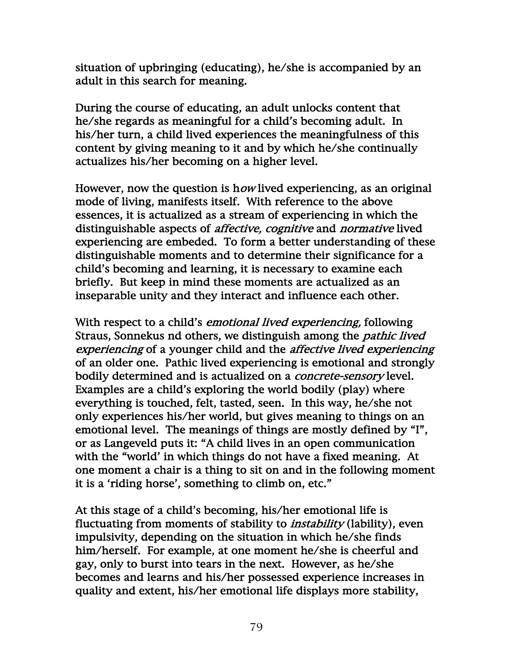situation of upbringing (educating), he/she is accompanied by an adult in this search for meaning.

During the course of educating, an adult unlocks content that he/she regards as meaningful for a child's becoming adult. In his/her turn, a child lived experiences the meaningfulness of this content by giving meaning to it and by which he/she continually actualizes his/her becoming on a higher level.

However, now the question is how lived experiencing, as an original mode of living, manifests itself. With reference to the above essences, it is actualized as a stream of experiencing in which the distinguishable aspects of *affective, cognitive* and *normative* lived experiencing are embeded. To form a better understanding of these distinguishable moments and to determine their significance for a child's becoming and learning, it is necessary to examine each briefly. But keep in mind these moments are actualized as an inseparable unity and they interact and influence each other.

With respect to a child's *emotional lived experiencing*, following Straus, Sonnekus nd others, we distinguish among the *pathic lived* experiencing of a younger child and the affective lived experiencing of an older one. Pathic lived experiencing is emotional and strongly bodily determined and is actualized on a *concrete-sensory* level. Examples are a child's exploring the world bodily (play) where everything is touched, felt, tasted, seen. In this way, he/she not only experiences his/her world, but gives meaning to things on an emotional level. The meanings of things are mostly defined by "I", or as Langeveld puts it: "A child lives in an open communication with the "world' in which things do not have a fixed meaning. At one moment a chair is a thing to sit on and in the following moment it is a 'riding horse', something to climb on, etc."

At this stage of a child's becoming, his/her emotional life is fluctuating from moments of stability to *instability* (lability), even impulsivity, depending on the situation in which he/she finds him/herself. For example, at one moment he/she is cheerful and gay, only to burst into tears in the next. However, as he/she becomes and learns and his/her possessed experience increases in quality and extent, his/her emotional life displays more stability,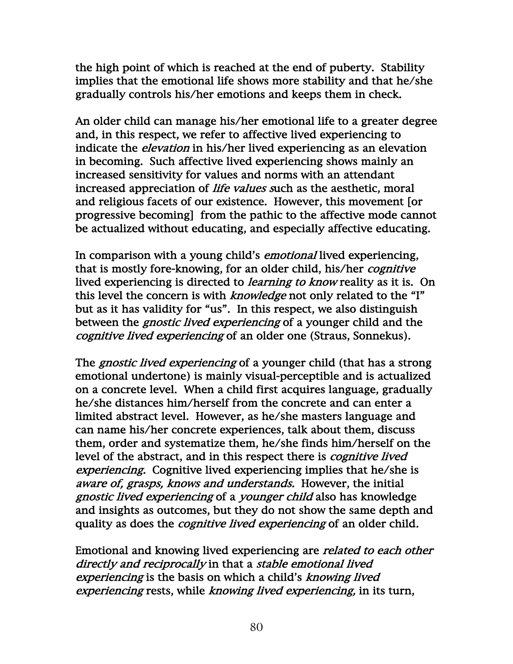the high point of which is reached at the end of puberty. Stability implies that the emotional life shows more stability and that he/she gradually controls his/her emotions and keeps them in check.

An older child can manage his/her emotional life to a greater degree and, in this respect, we refer to affective lived experiencing to indicate the *elevation* in his/her lived experiencing as an elevation in becoming. Such affective lived experiencing shows mainly an increased sensitivity for values and norms with an attendant increased appreciation of life values such as the aesthetic, moral and religious facets of our existence. However, this movement [or progressive becoming] from the pathic to the affective mode cannot be actualized without educating, and especially affective educating.

In comparison with a young child's *emotional* lived experiencing, that is mostly fore-knowing, for an older child, his/her cognitive lived experiencing is directed to learning to know reality as it is. On this level the concern is with *knowledge* not only related to the "I" but as it has validity for "us". In this respect, we also distinguish between the *gnostic lived experiencing* of a younger child and the cognitive lived experiencing of an older one (Straus, Sonnekus).

The *gnostic lived experiencing* of a younger child (that has a strong emotional undertone) is mainly visual-perceptible and is actualized on a concrete level. When a child first acquires language, gradually he/she distances him/herself from the concrete and can enter a limited abstract level. However, as he/she masters language and can name his/her concrete experiences, talk about them, discuss them, order and systematize them, he/she finds him/herself on the level of the abstract, and in this respect there is *cognitive lived* experiencing. Cognitive lived experiencing implies that he/she is aware of, grasps, knows and understands. However, the initial gnostic lived experiencing of a younger child also has knowledge and insights as outcomes, but they do not show the same depth and quality as does the *cognitive lived experiencing* of an older child.

Emotional and knowing lived experiencing are related to each other directly and reciprocally in that a stable emotional lived experiencing is the basis on which a child's knowing lived experiencing rests, while knowing lived experiencing, in its turn,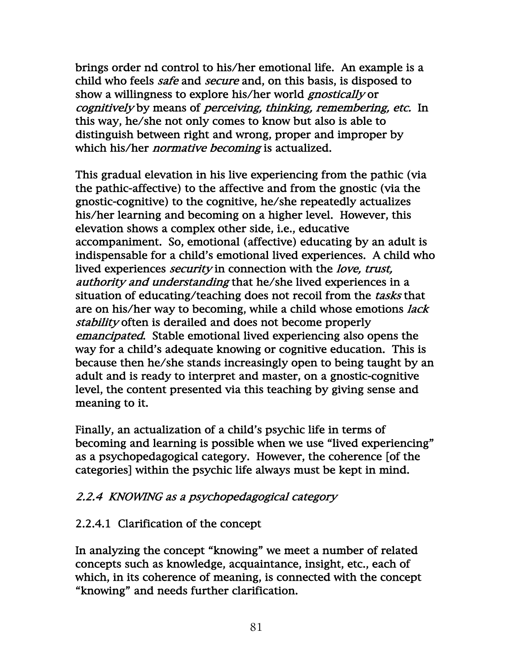brings order nd control to his/her emotional life. An example is a child who feels *safe* and *secure* and, on this basis, is disposed to show a willingness to explore his/her world *gnostically* or cognitively by means of perceiving, thinking, remembering, etc. In this way, he/she not only comes to know but also is able to distinguish between right and wrong, proper and improper by which his/her *normative becoming* is actualized.

This gradual elevation in his live experiencing from the pathic (via the pathic-affective) to the affective and from the gnostic (via the gnostic-cognitive) to the cognitive, he/she repeatedly actualizes his/her learning and becoming on a higher level. However, this elevation shows a complex other side, i.e., educative accompaniment. So, emotional (affective) educating by an adult is indispensable for a child's emotional lived experiences. A child who lived experiences *security* in connection with the *love*, trust, authority and understanding that he/she lived experiences in a situation of educating/teaching does not recoil from the *tasks* that are on his/her way to becoming, while a child whose emotions *lack* stability often is derailed and does not become properly emancipated. Stable emotional lived experiencing also opens the way for a child's adequate knowing or cognitive education. This is because then he/she stands increasingly open to being taught by an adult and is ready to interpret and master, on a gnostic-cognitive level, the content presented via this teaching by giving sense and meaning to it.

Finally, an actualization of a child's psychic life in terms of becoming and learning is possible when we use "lived experiencing" as a psychopedagogical category. However, the coherence [of the categories] within the psychic life always must be kept in mind.

## 2.2.4 KNOWING as a psychopedagogical category

## 2.2.4.1 Clarification of the concept

In analyzing the concept "knowing" we meet a number of related concepts such as knowledge, acquaintance, insight, etc., each of which, in its coherence of meaning, is connected with the concept "knowing" and needs further clarification.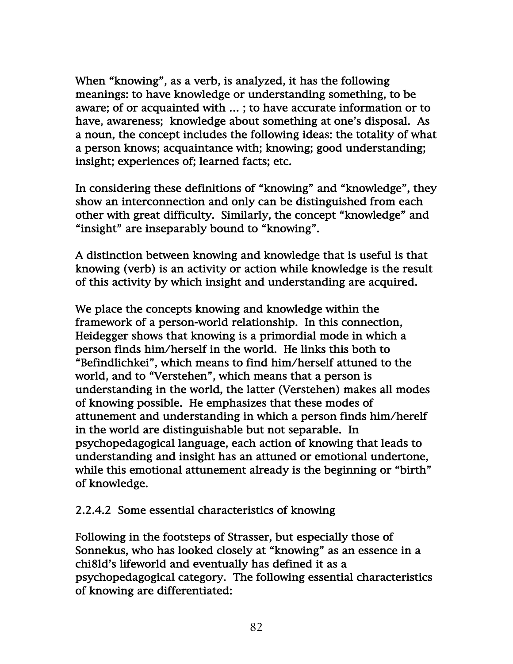When "knowing", as a verb, is analyzed, it has the following meanings: to have knowledge or understanding something, to be aware; of or acquainted with … ; to have accurate information or to have, awareness; knowledge about something at one's disposal. As a noun, the concept includes the following ideas: the totality of what a person knows; acquaintance with; knowing; good understanding; insight; experiences of; learned facts; etc.

In considering these definitions of "knowing" and "knowledge", they show an interconnection and only can be distinguished from each other with great difficulty. Similarly, the concept "knowledge" and "insight" are inseparably bound to "knowing".

A distinction between knowing and knowledge that is useful is that knowing (verb) is an activity or action while knowledge is the result of this activity by which insight and understanding are acquired.

We place the concepts knowing and knowledge within the framework of a person-world relationship. In this connection, Heidegger shows that knowing is a primordial mode in which a person finds him/herself in the world. He links this both to "Befindlichkei", which means to find him/herself attuned to the world, and to "Verstehen", which means that a person is understanding in the world, the latter (Verstehen) makes all modes of knowing possible. He emphasizes that these modes of attunement and understanding in which a person finds him/herelf in the world are distinguishable but not separable. In psychopedagogical language, each action of knowing that leads to understanding and insight has an attuned or emotional undertone, while this emotional attunement already is the beginning or "birth" of knowledge.

## 2.2.4.2 Some essential characteristics of knowing

Following in the footsteps of Strasser, but especially those of Sonnekus, who has looked closely at "knowing" as an essence in a chi8ld's lifeworld and eventually has defined it as a psychopedagogical category. The following essential characteristics of knowing are differentiated: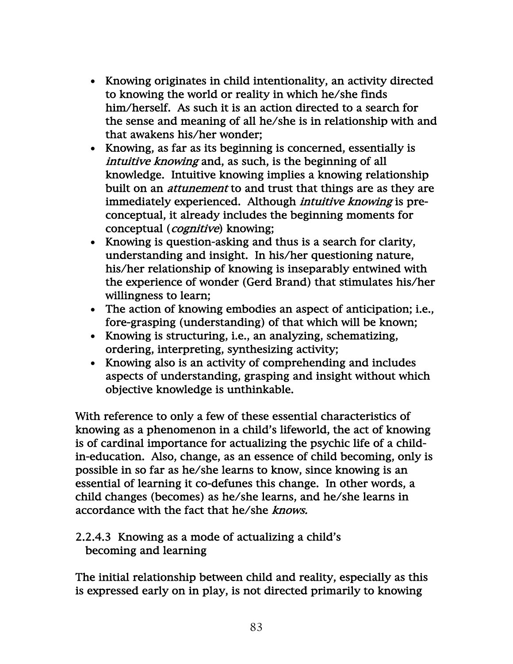- Knowing originates in child intentionality, an activity directed to knowing the world or reality in which he/she finds him/herself. As such it is an action directed to a search for the sense and meaning of all he/she is in relationship with and that awakens his/her wonder;
- Knowing, as far as its beginning is concerned, essentially is intuitive knowing and, as such, is the beginning of all knowledge. Intuitive knowing implies a knowing relationship built on an attunement to and trust that things are as they are immediately experienced. Although *intuitive knowing* is preconceptual, it already includes the beginning moments for conceptual (cognitive) knowing;
- Knowing is question-asking and thus is a search for clarity, understanding and insight. In his/her questioning nature, his/her relationship of knowing is inseparably entwined with the experience of wonder (Gerd Brand) that stimulates his/her willingness to learn;
- The action of knowing embodies an aspect of anticipation; i.e., fore-grasping (understanding) of that which will be known;
- Knowing is structuring, i.e., an analyzing, schematizing, ordering, interpreting, synthesizing activity;
- Knowing also is an activity of comprehending and includes aspects of understanding, grasping and insight without which objective knowledge is unthinkable.

With reference to only a few of these essential characteristics of knowing as a phenomenon in a child's lifeworld, the act of knowing is of cardinal importance for actualizing the psychic life of a childin-education. Also, change, as an essence of child becoming, only is possible in so far as he/she learns to know, since knowing is an essential of learning it co-defunes this change. In other words, a child changes (becomes) as he/she learns, and he/she learns in accordance with the fact that he/she knows.

#### 2.2.4.3 Knowing as a mode of actualizing a child's becoming and learning

The initial relationship between child and reality, especially as this is expressed early on in play, is not directed primarily to knowing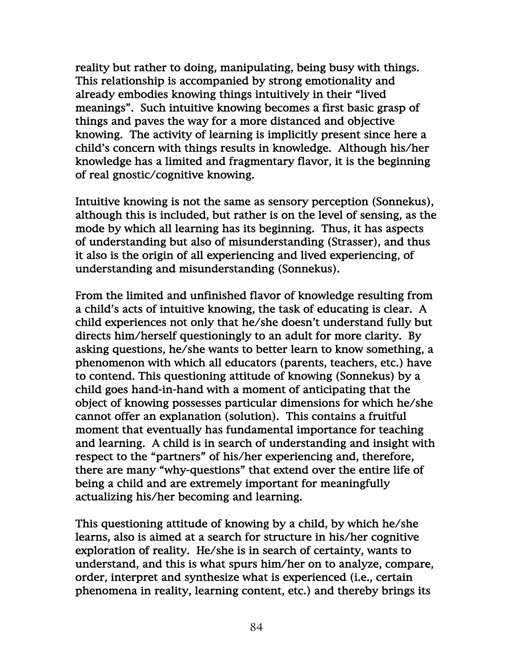reality but rather to doing, manipulating, being busy with things. This relationship is accompanied by strong emotionality and already embodies knowing things intuitively in their "lived meanings". Such intuitive knowing becomes a first basic grasp of things and paves the way for a more distanced and objective knowing. The activity of learning is implicitly present since here a child's concern with things results in knowledge. Although his/her knowledge has a limited and fragmentary flavor, it is the beginning of real gnostic/cognitive knowing.

Intuitive knowing is not the same as sensory perception (Sonnekus), although this is included, but rather is on the level of sensing, as the mode by which all learning has its beginning. Thus, it has aspects of understanding but also of misunderstanding (Strasser), and thus it also is the origin of all experiencing and lived experiencing, of understanding and misunderstanding (Sonnekus).

From the limited and unfinished flavor of knowledge resulting from a child's acts of intuitive knowing, the task of educating is clear. A child experiences not only that he/she doesn't understand fully but directs him/herself questioningly to an adult for more clarity. By asking questions, he/she wants to better learn to know something, a phenomenon with which all educators (parents, teachers, etc.) have to contend. This questioning attitude of knowing (Sonnekus) by a child goes hand-in-hand with a moment of anticipating that the object of knowing possesses particular dimensions for which he/she cannot offer an explanation (solution). This contains a fruitful moment that eventually has fundamental importance for teaching and learning. A child is in search of understanding and insight with respect to the "partners" of his/her experiencing and, therefore, there are many "why-questions" that extend over the entire life of being a child and are extremely important for meaningfully actualizing his/her becoming and learning.

This questioning attitude of knowing by a child, by which he/she learns, also is aimed at a search for structure in his/her cognitive exploration of reality. He/she is in search of certainty, wants to understand, and this is what spurs him/her on to analyze, compare, order, interpret and synthesize what is experienced (i.e., certain phenomena in reality, learning content, etc.) and thereby brings its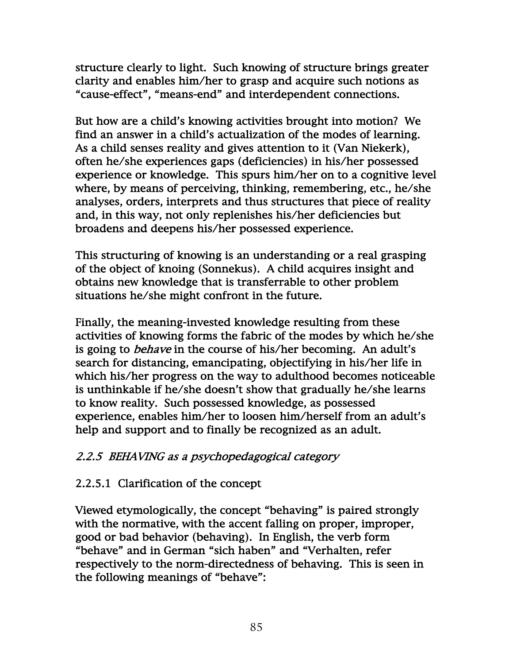structure clearly to light. Such knowing of structure brings greater clarity and enables him/her to grasp and acquire such notions as "cause-effect", "means-end" and interdependent connections.

But how are a child's knowing activities brought into motion? We find an answer in a child's actualization of the modes of learning. As a child senses reality and gives attention to it (Van Niekerk), often he/she experiences gaps (deficiencies) in his/her possessed experience or knowledge. This spurs him/her on to a cognitive level where, by means of perceiving, thinking, remembering, etc., he/she analyses, orders, interprets and thus structures that piece of reality and, in this way, not only replenishes his/her deficiencies but broadens and deepens his/her possessed experience.

This structuring of knowing is an understanding or a real grasping of the object of knoing (Sonnekus). A child acquires insight and obtains new knowledge that is transferrable to other problem situations he/she might confront in the future.

Finally, the meaning-invested knowledge resulting from these activities of knowing forms the fabric of the modes by which he/she is going to *behave* in the course of his/her becoming. An adult's search for distancing, emancipating, objectifying in his/her life in which his/her progress on the way to adulthood becomes noticeable is unthinkable if he/she doesn't show that gradually he/she learns to know reality. Such possessed knowledge, as possessed experience, enables him/her to loosen him/herself from an adult's help and support and to finally be recognized as an adult.

## 2.2.5 BEHAVING as a psychopedagogical category

# 2.2.5.1 Clarification of the concept

Viewed etymologically, the concept "behaving" is paired strongly with the normative, with the accent falling on proper, improper, good or bad behavior (behaving). In English, the verb form "behave" and in German "sich haben" and "Verhalten, refer respectively to the norm-directedness of behaving. This is seen in the following meanings of "behave":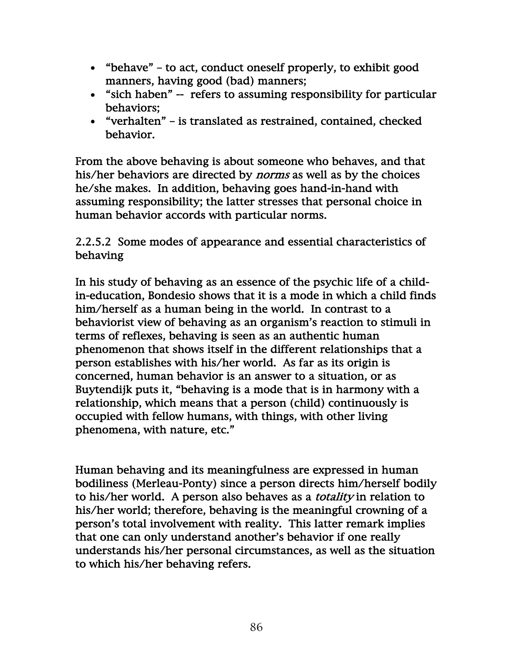- "behave" to act, conduct oneself properly, to exhibit good manners, having good (bad) manners;
- "sich haben" -- refers to assuming responsibility for particular behaviors;
- "verhalten" is translated as restrained, contained, checked behavior.

From the above behaving is about someone who behaves, and that his/her behaviors are directed by *norms* as well as by the choices he/she makes. In addition, behaving goes hand-in-hand with assuming responsibility; the latter stresses that personal choice in human behavior accords with particular norms.

2.2.5.2 Some modes of appearance and essential characteristics of behaving

In his study of behaving as an essence of the psychic life of a childin-education, Bondesio shows that it is a mode in which a child finds him/herself as a human being in the world. In contrast to a behaviorist view of behaving as an organism's reaction to stimuli in terms of reflexes, behaving is seen as an authentic human phenomenon that shows itself in the different relationships that a person establishes with his/her world. As far as its origin is concerned, human behavior is an answer to a situation, or as Buytendijk puts it, "behaving is a mode that is in harmony with a relationship, which means that a person (child) continuously is occupied with fellow humans, with things, with other living phenomena, with nature, etc."

Human behaving and its meaningfulness are expressed in human bodiliness (Merleau-Ponty) since a person directs him/herself bodily to his/her world. A person also behaves as a totality in relation to his/her world; therefore, behaving is the meaningful crowning of a person's total involvement with reality. This latter remark implies that one can only understand another's behavior if one really understands his/her personal circumstances, as well as the situation to which his/her behaving refers.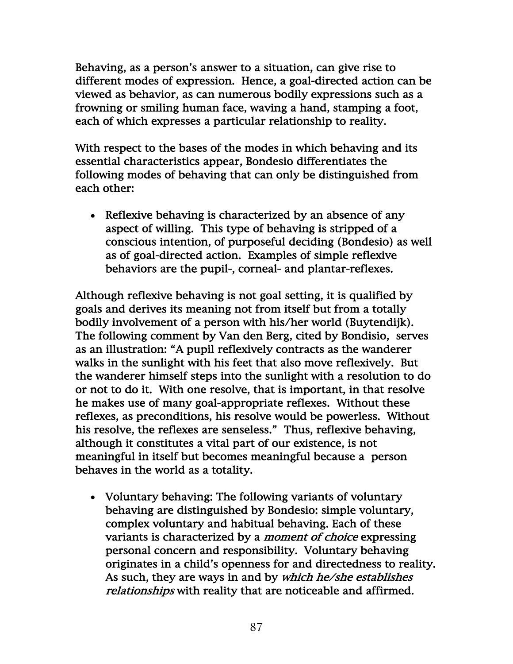Behaving, as a person's answer to a situation, can give rise to different modes of expression. Hence, a goal-directed action can be viewed as behavior, as can numerous bodily expressions such as a frowning or smiling human face, waving a hand, stamping a foot, each of which expresses a particular relationship to reality.

With respect to the bases of the modes in which behaving and its essential characteristics appear, Bondesio differentiates the following modes of behaving that can only be distinguished from each other:

• Reflexive behaving is characterized by an absence of any aspect of willing. This type of behaving is stripped of a conscious intention, of purposeful deciding (Bondesio) as well as of goal-directed action. Examples of simple reflexive behaviors are the pupil-, corneal- and plantar-reflexes.

Although reflexive behaving is not goal setting, it is qualified by goals and derives its meaning not from itself but from a totally bodily involvement of a person with his/her world (Buytendijk). The following comment by Van den Berg, cited by Bondisio, serves as an illustration: "A pupil reflexively contracts as the wanderer walks in the sunlight with his feet that also move reflexively. But the wanderer himself steps into the sunlight with a resolution to do or not to do it. With one resolve, that is important, in that resolve he makes use of many goal-appropriate reflexes. Without these reflexes, as preconditions, his resolve would be powerless. Without his resolve, the reflexes are senseless." Thus, reflexive behaving, although it constitutes a vital part of our existence, is not meaningful in itself but becomes meaningful because a person behaves in the world as a totality.

• Voluntary behaving: The following variants of voluntary behaving are distinguished by Bondesio: simple voluntary, complex voluntary and habitual behaving. Each of these variants is characterized by a moment of choice expressing personal concern and responsibility. Voluntary behaving originates in a child's openness for and directedness to reality. As such, they are ways in and by which he/she establishes relationships with reality that are noticeable and affirmed.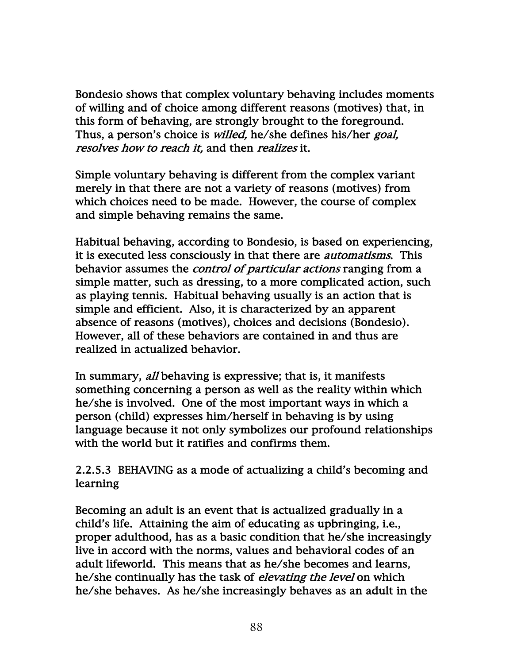Bondesio shows that complex voluntary behaving includes moments of willing and of choice among different reasons (motives) that, in this form of behaving, are strongly brought to the foreground. Thus, a person's choice is *willed*, he/she defines his/her *goal*, resolves how to reach it, and then realizes it.

Simple voluntary behaving is different from the complex variant merely in that there are not a variety of reasons (motives) from which choices need to be made. However, the course of complex and simple behaving remains the same.

Habitual behaving, according to Bondesio, is based on experiencing, it is executed less consciously in that there are *automatisms*. This behavior assumes the *control of particular actions* ranging from a simple matter, such as dressing, to a more complicated action, such as playing tennis. Habitual behaving usually is an action that is simple and efficient. Also, it is characterized by an apparent absence of reasons (motives), choices and decisions (Bondesio). However, all of these behaviors are contained in and thus are realized in actualized behavior.

In summary, *all* behaving is expressive; that is, it manifests something concerning a person as well as the reality within which he/she is involved. One of the most important ways in which a person (child) expresses him/herself in behaving is by using language because it not only symbolizes our profound relationships with the world but it ratifies and confirms them.

2.2.5.3 BEHAVING as a mode of actualizing a child's becoming and learning

Becoming an adult is an event that is actualized gradually in a child's life. Attaining the aim of educating as upbringing, i.e., proper adulthood, has as a basic condition that he/she increasingly live in accord with the norms, values and behavioral codes of an adult lifeworld. This means that as he/she becomes and learns, he/she continually has the task of elevating the level on which he/she behaves. As he/she increasingly behaves as an adult in the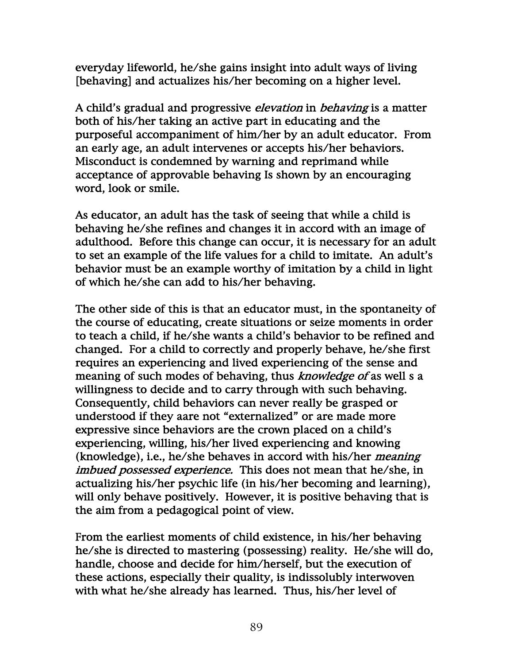everyday lifeworld, he/she gains insight into adult ways of living [behaving] and actualizes his/her becoming on a higher level.

A child's gradual and progressive *elevation* in *behaving* is a matter both of his/her taking an active part in educating and the purposeful accompaniment of him/her by an adult educator. From an early age, an adult intervenes or accepts his/her behaviors. Misconduct is condemned by warning and reprimand while acceptance of approvable behaving Is shown by an encouraging word, look or smile.

As educator, an adult has the task of seeing that while a child is behaving he/she refines and changes it in accord with an image of adulthood. Before this change can occur, it is necessary for an adult to set an example of the life values for a child to imitate. An adult's behavior must be an example worthy of imitation by a child in light of which he/she can add to his/her behaving.

The other side of this is that an educator must, in the spontaneity of the course of educating, create situations or seize moments in order to teach a child, if he/she wants a child's behavior to be refined and changed. For a child to correctly and properly behave, he/she first requires an experiencing and lived experiencing of the sense and meaning of such modes of behaving, thus *knowledge of* as well s a willingness to decide and to carry through with such behaving. Consequently, child behaviors can never really be grasped or understood if they aare not "externalized" or are made more expressive since behaviors are the crown placed on a child's experiencing, willing, his/her lived experiencing and knowing (knowledge), i.e., he/she behaves in accord with his/her meaning imbued possessed experience. This does not mean that he/she, in actualizing his/her psychic life (in his/her becoming and learning), will only behave positively. However, it is positive behaving that is the aim from a pedagogical point of view.

From the earliest moments of child existence, in his/her behaving he/she is directed to mastering (possessing) reality. He/she will do, handle, choose and decide for him/herself, but the execution of these actions, especially their quality, is indissolubly interwoven with what he/she already has learned. Thus, his/her level of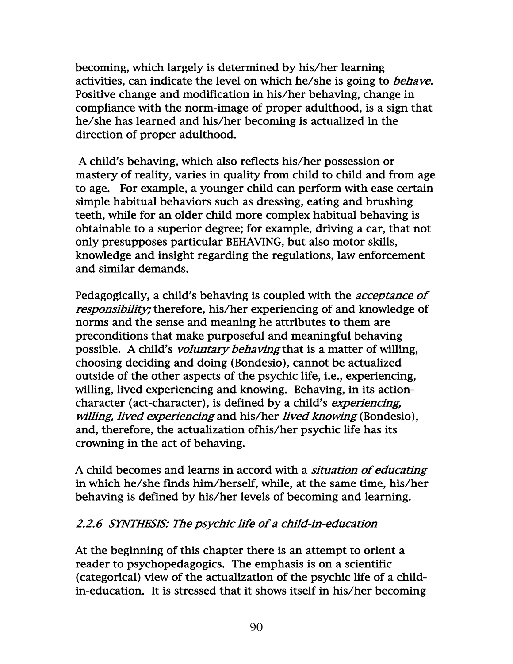becoming, which largely is determined by his/her learning activities, can indicate the level on which he/she is going to *behave*. Positive change and modification in his/her behaving, change in compliance with the norm-image of proper adulthood, is a sign that he/she has learned and his/her becoming is actualized in the direction of proper adulthood.

 A child's behaving, which also reflects his/her possession or mastery of reality, varies in quality from child to child and from age to age. For example, a younger child can perform with ease certain simple habitual behaviors such as dressing, eating and brushing teeth, while for an older child more complex habitual behaving is obtainable to a superior degree; for example, driving a car, that not only presupposes particular BEHAVING, but also motor skills, knowledge and insight regarding the regulations, law enforcement and similar demands.

Pedagogically, a child's behaving is coupled with the acceptance of responsibility; therefore, his/her experiencing of and knowledge of norms and the sense and meaning he attributes to them are preconditions that make purposeful and meaningful behaving possible. A child's voluntary behaving that is a matter of willing, choosing deciding and doing (Bondesio), cannot be actualized outside of the other aspects of the psychic life, i.e., experiencing, willing, lived experiencing and knowing. Behaving, in its actioncharacter (act-character), is defined by a child's experiencing, willing, lived experiencing and his/her lived knowing (Bondesio), and, therefore, the actualization ofhis/her psychic life has its crowning in the act of behaving.

A child becomes and learns in accord with a situation of educating in which he/she finds him/herself, while, at the same time, his/her behaving is defined by his/her levels of becoming and learning.

# 2.2.6 SYNTHESIS: The psychic life of a child-in-education

At the beginning of this chapter there is an attempt to orient a reader to psychopedagogics. The emphasis is on a scientific (categorical) view of the actualization of the psychic life of a childin-education. It is stressed that it shows itself in his/her becoming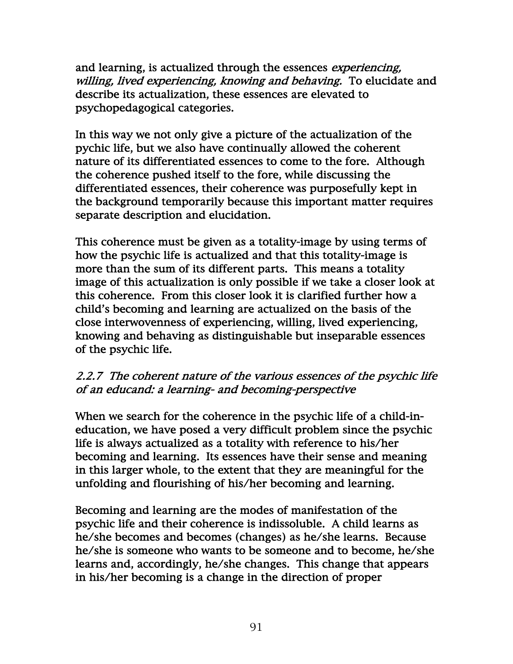and learning, is actualized through the essences *experiencing*, willing, lived experiencing, knowing and behaving. To elucidate and describe its actualization, these essences are elevated to psychopedagogical categories.

In this way we not only give a picture of the actualization of the pychic life, but we also have continually allowed the coherent nature of its differentiated essences to come to the fore. Although the coherence pushed itself to the fore, while discussing the differentiated essences, their coherence was purposefully kept in the background temporarily because this important matter requires separate description and elucidation.

This coherence must be given as a totality-image by using terms of how the psychic life is actualized and that this totality-image is more than the sum of its different parts. This means a totality image of this actualization is only possible if we take a closer look at this coherence. From this closer look it is clarified further how a child's becoming and learning are actualized on the basis of the close interwovenness of experiencing, willing, lived experiencing, knowing and behaving as distinguishable but inseparable essences of the psychic life.

## 2.2.7 The coherent nature of the various essences of the psychic life of an educand: a learning- and becoming-perspective

When we search for the coherence in the psychic life of a child-ineducation, we have posed a very difficult problem since the psychic life is always actualized as a totality with reference to his/her becoming and learning. Its essences have their sense and meaning in this larger whole, to the extent that they are meaningful for the unfolding and flourishing of his/her becoming and learning.

Becoming and learning are the modes of manifestation of the psychic life and their coherence is indissoluble. A child learns as he/she becomes and becomes (changes) as he/she learns. Because he/she is someone who wants to be someone and to become, he/she learns and, accordingly, he/she changes. This change that appears in his/her becoming is a change in the direction of proper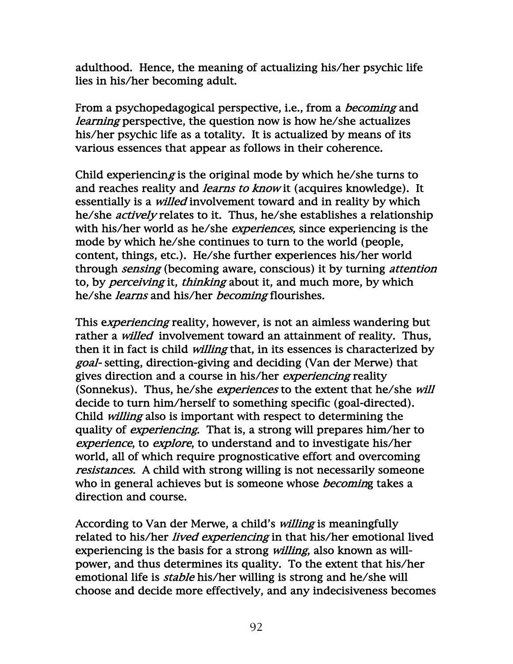adulthood. Hence, the meaning of actualizing his/her psychic life lies in his/her becoming adult.

From a psychopedagogical perspective, i.e., from a *becoming* and learning perspective, the question now is how he/she actualizes his/her psychic life as a totality. It is actualized by means of its various essences that appear as follows in their coherence.

Child experiencing is the original mode by which he/she turns to and reaches reality and *learns to know* it (acquires knowledge). It essentially is a *willed* involvement toward and in reality by which he/she actively relates to it. Thus, he/she establishes a relationship with his/her world as he/she *experiences*, since experiencing is the mode by which he/she continues to turn to the world (people, content, things, etc.). He/she further experiences his/her world through sensing (becoming aware, conscious) it by turning attention to, by *perceiving* it, *thinking* about it, and much more, by which he/she learns and his/her becoming flourishes.

This experiencing reality, however, is not an aimless wandering but rather a *willed* involvement toward an attainment of reality. Thus, then it in fact is child *willing* that, in its essences is characterized by goal- setting, direction-giving and deciding (Van der Merwe) that gives direction and a course in his/her *experiencing* reality (Sonnekus). Thus, he/she *experiences* to the extent that he/she will decide to turn him/herself to something specific (goal-directed). Child willing also is important with respect to determining the quality of *experiencing*. That is, a strong will prepares him/her to experience, to explore, to understand and to investigate his/her world, all of which require prognosticative effort and overcoming resistances. A child with strong willing is not necessarily someone who in general achieves but is someone whose *becoming* takes a direction and course.

According to Van der Merwe, a child's willing is meaningfully related to his/her *lived experiencing* in that his/her emotional lived experiencing is the basis for a strong *willing*, also known as willpower, and thus determines its quality. To the extent that his/her emotional life is *stable* his/her willing is strong and he/she will choose and decide more effectively, and any indecisiveness becomes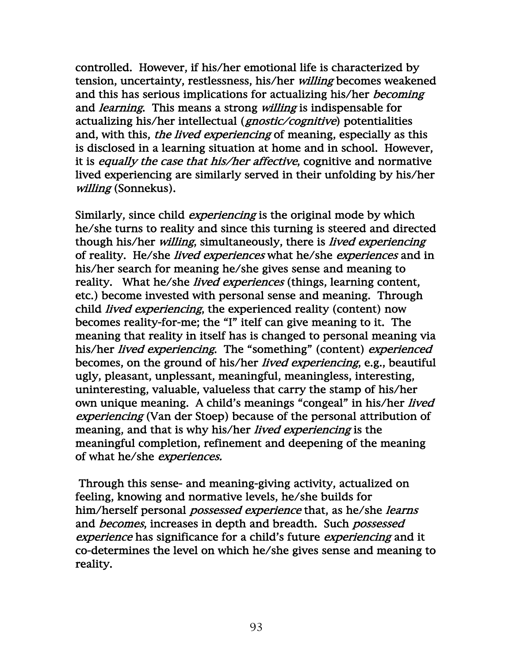controlled. However, if his/her emotional life is characterized by tension, uncertainty, restlessness, his/her willing becomes weakened and this has serious implications for actualizing his/her *becoming* and *learning*. This means a strong *willing* is indispensable for actualizing his/her intellectual (*gnostic/cognitive*) potentialities and, with this, *the lived experiencing* of meaning, especially as this is disclosed in a learning situation at home and in school. However, it is equally the case that his/her affective, cognitive and normative lived experiencing are similarly served in their unfolding by his/her willing (Sonnekus).

Similarly, since child *experiencing* is the original mode by which he/she turns to reality and since this turning is steered and directed though his/her *willing*, simultaneously, there is *lived experiencing* of reality. He/she lived experiences what he/she experiences and in his/her search for meaning he/she gives sense and meaning to reality. What he/she *lived experiences* (things, learning content, etc.) become invested with personal sense and meaning. Through child *lived experiencing*, the experienced reality (content) now becomes reality-for-me; the "I" itelf can give meaning to it. The meaning that reality in itself has is changed to personal meaning via his/her *lived experiencing*. The "something" (content) *experienced* becomes, on the ground of his/her lived experiencing, e.g., beautiful ugly, pleasant, unplessant, meaningful, meaningless, interesting, uninteresting, valuable, valueless that carry the stamp of his/her own unique meaning. A child's meanings "congeal" in his/her *lived* experiencing (Van der Stoep) because of the personal attribution of meaning, and that is why his/her *lived experiencing* is the meaningful completion, refinement and deepening of the meaning of what he/she experiences.

 Through this sense- and meaning-giving activity, actualized on feeling, knowing and normative levels, he/she builds for him/herself personal *possessed experience* that, as he/she *learns* and *becomes*, increases in depth and breadth. Such *possessed* experience has significance for a child's future experiencing and it co-determines the level on which he/she gives sense and meaning to reality.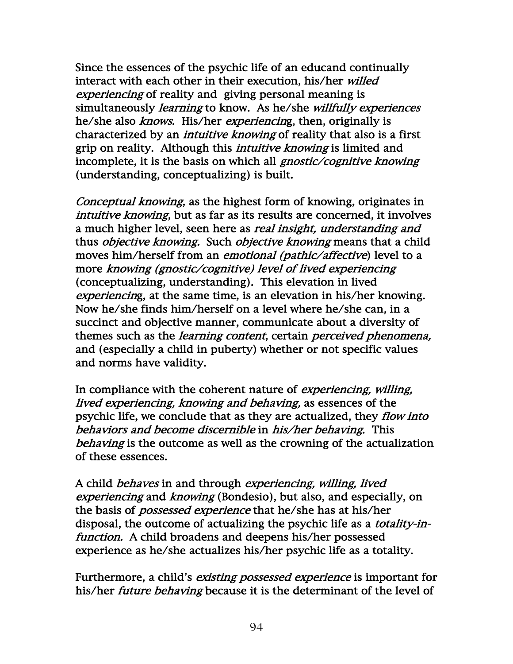Since the essences of the psychic life of an educand continually interact with each other in their execution, his/her willed experiencing of reality and giving personal meaning is simultaneously *learning* to know. As he/she *willfully experiences* he/she also *knows*. His/her *experiencing*, then, originally is characterized by an *intuitive knowing* of reality that also is a first grip on reality. Although this *intuitive knowing* is limited and incomplete, it is the basis on which all *gnostic/cognitive knowing* (understanding, conceptualizing) is built.

Conceptual knowing, as the highest form of knowing, originates in intuitive knowing, but as far as its results are concerned, it involves a much higher level, seen here as *real insight, understanding and* thus *objective knowing*. Such *objective knowing* means that a child moves him/herself from an *emotional (pathic/affective*) level to a more knowing (gnostic/cognitive) level of lived experiencing (conceptualizing, understanding). This elevation in lived experiencing, at the same time, is an elevation in his/her knowing. Now he/she finds him/herself on a level where he/she can, in a succinct and objective manner, communicate about a diversity of themes such as the *learning content*, certain *perceived phenomena*, and (especially a child in puberty) whether or not specific values and norms have validity.

In compliance with the coherent nature of *experiencing*, *willing*, lived experiencing, knowing and behaving, as essences of the psychic life, we conclude that as they are actualized, they *flow into* behaviors and become discernible in his/her behaving. This behaving is the outcome as well as the crowning of the actualization of these essences.

A child *behaves* in and through *experiencing, willing, lived* experiencing and knowing (Bondesio), but also, and especially, on the basis of *possessed experience* that he/she has at his/her disposal, the outcome of actualizing the psychic life as a totality-infunction. A child broadens and deepens his/her possessed experience as he/she actualizes his/her psychic life as a totality.

Furthermore, a child's existing possessed experience is important for his/her *future behaving* because it is the determinant of the level of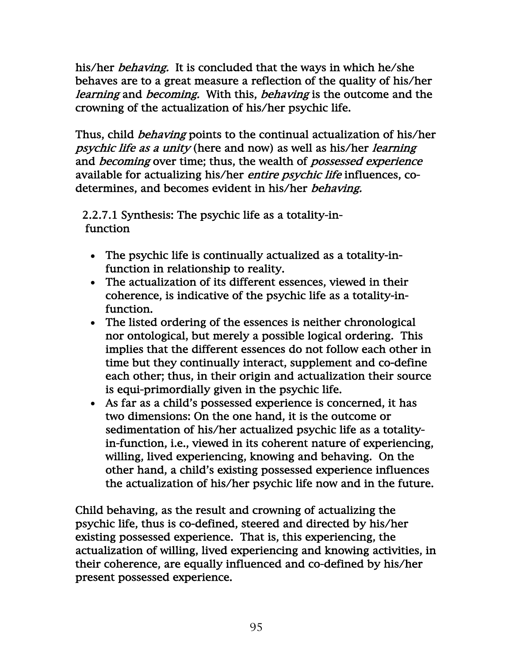his/her *behaving*. It is concluded that the ways in which he/she behaves are to a great measure a reflection of the quality of his/her learning and becoming. With this, behaving is the outcome and the crowning of the actualization of his/her psychic life.

Thus, child *behaving* points to the continual actualization of his/her psychic life as a unity (here and now) as well as his/her learning and *becoming* over time; thus, the wealth of *possessed experience* available for actualizing his/her entire psychic life influences, codetermines, and becomes evident in his/her behaving.

 2.2.7.1 Synthesis: The psychic life as a totality-in function

- The psychic life is continually actualized as a totality-infunction in relationship to reality.
- The actualization of its different essences, viewed in their coherence, is indicative of the psychic life as a totality-infunction.
- The listed ordering of the essences is neither chronological nor ontological, but merely a possible logical ordering. This implies that the different essences do not follow each other in time but they continually interact, supplement and co-define each other; thus, in their origin and actualization their source is equi-primordially given in the psychic life.
- As far as a child's possessed experience is concerned, it has two dimensions: On the one hand, it is the outcome or sedimentation of his/her actualized psychic life as a totalityin-function, i.e., viewed in its coherent nature of experiencing, willing, lived experiencing, knowing and behaving. On the other hand, a child's existing possessed experience influences the actualization of his/her psychic life now and in the future.

Child behaving, as the result and crowning of actualizing the psychic life, thus is co-defined, steered and directed by his/her existing possessed experience. That is, this experiencing, the actualization of willing, lived experiencing and knowing activities, in their coherence, are equally influenced and co-defined by his/her present possessed experience.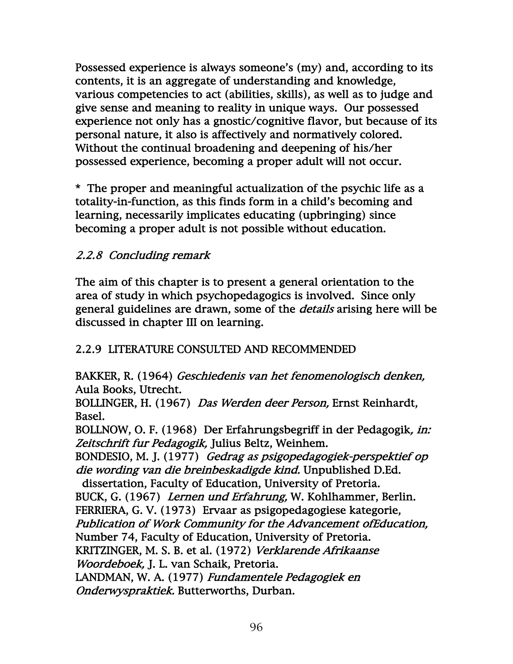Possessed experience is always someone's (my) and, according to its contents, it is an aggregate of understanding and knowledge, various competencies to act (abilities, skills), as well as to judge and give sense and meaning to reality in unique ways. Our possessed experience not only has a gnostic/cognitive flavor, but because of its personal nature, it also is affectively and normatively colored. Without the continual broadening and deepening of his/her possessed experience, becoming a proper adult will not occur.

\* The proper and meaningful actualization of the psychic life as a totality-in-function, as this finds form in a child's becoming and learning, necessarily implicates educating (upbringing) since becoming a proper adult is not possible without education.

# 2.2.8 Concluding remark

The aim of this chapter is to present a general orientation to the area of study in which psychopedagogics is involved. Since only general guidelines are drawn, some of the *details* arising here will be discussed in chapter III on learning.

# 2.2.9 LITERATURE CONSULTED AND RECOMMENDED

BAKKER, R. (1964) Geschiedenis van het fenomenologisch denken, Aula Books, Utrecht.

BOLLINGER, H. (1967) Das Werden deer Person, Ernst Reinhardt, Basel.

BOLLNOW, O. F. (1968) Der Erfahrungsbegriff in der Pedagogik, in: Zeitschrift fur Pedagogik, Julius Beltz, Weinhem.

BONDESIO, M. J. (1977) Gedrag as psigopedagogiek-perspektief op die wording van die breinbeskadigde kind. Unpublished D.Ed.

 dissertation, Faculty of Education, University of Pretoria. BUCK, G. (1967) Lernen und Erfahrung, W. Kohlhammer, Berlin. FERRIERA, G. V. (1973) Ervaar as psigopedagogiese kategorie, Publication of Work Community for the Advancement ofEducation, Number 74, Faculty of Education, University of Pretoria.

KRITZINGER, M. S. B. et al. (1972) Verklarende Afrikaanse Woordeboek, J. L. van Schaik, Pretoria.

LANDMAN, W. A. (1977) Fundamentele Pedagogiek en Onderwyspraktiek. Butterworths, Durban.